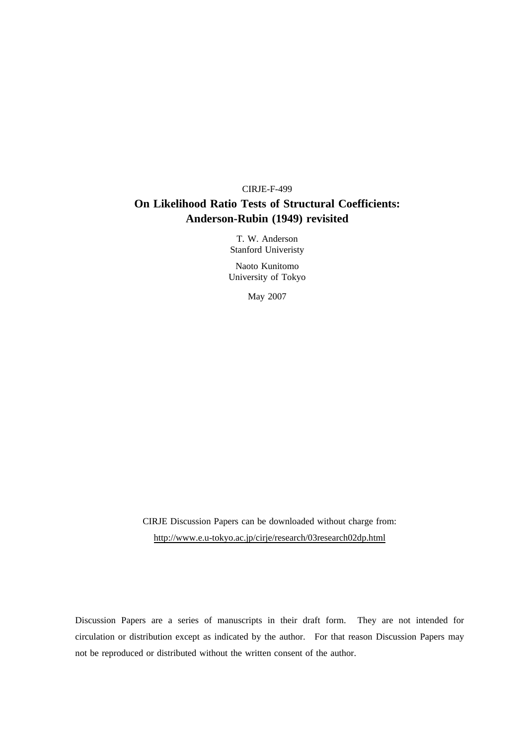# CIRJE-F-499 **On Likelihood Ratio Tests of Structural Coefficients: Anderson-Rubin (1949) revisited**

T. W. Anderson Stanford Univeristy

Naoto Kunitomo University of Tokyo

May 2007

CIRJE Discussion Papers can be downloaded without charge from: http://www.e.u-tokyo.ac.jp/cirje/research/03research02dp.html

Discussion Papers are a series of manuscripts in their draft form. They are not intended for circulation or distribution except as indicated by the author. For that reason Discussion Papers may not be reproduced or distributed without the written consent of the author.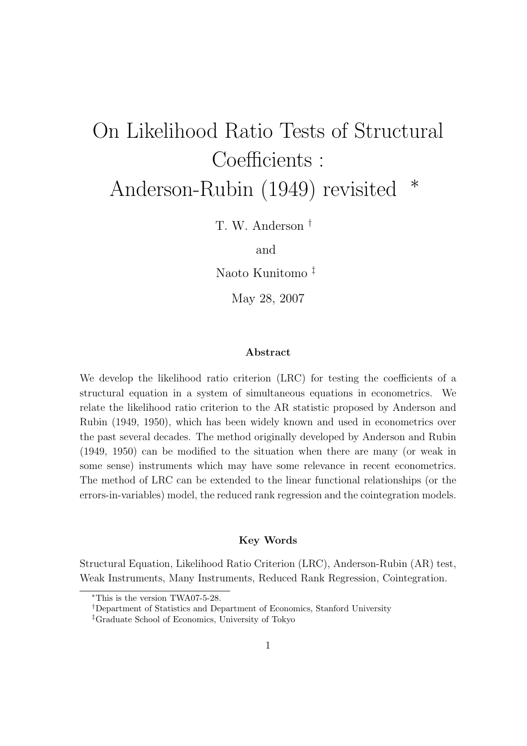# On Likelihood Ratio Tests of Structural Coefficients : Anderson-Rubin (1949) revisited *<sup>∗</sup>*

T. W. Anderson *†*

and

Naoto Kunitomo *‡*

May 28, 2007

#### **Abstract**

We develop the likelihood ratio criterion (LRC) for testing the coefficients of a structural equation in a system of simultaneous equations in econometrics. We relate the likelihood ratio criterion to the AR statistic proposed by Anderson and Rubin (1949, 1950), which has been widely known and used in econometrics over the past several decades. The method originally developed by Anderson and Rubin (1949, 1950) can be modified to the situation when there are many (or weak in some sense) instruments which may have some relevance in recent econometrics. The method of LRC can be extended to the linear functional relationships (or the errors-in-variables) model, the reduced rank regression and the cointegration models.

#### **Key Words**

Structural Equation, Likelihood Ratio Criterion (LRC), Anderson-Rubin (AR) test, Weak Instruments, Many Instruments, Reduced Rank Regression, Cointegration.

*<sup>∗</sup>*This is the version TWA07-5-28.

*<sup>†</sup>*Department of Statistics and Department of Economics, Stanford University

*<sup>‡</sup>*Graduate School of Economics, University of Tokyo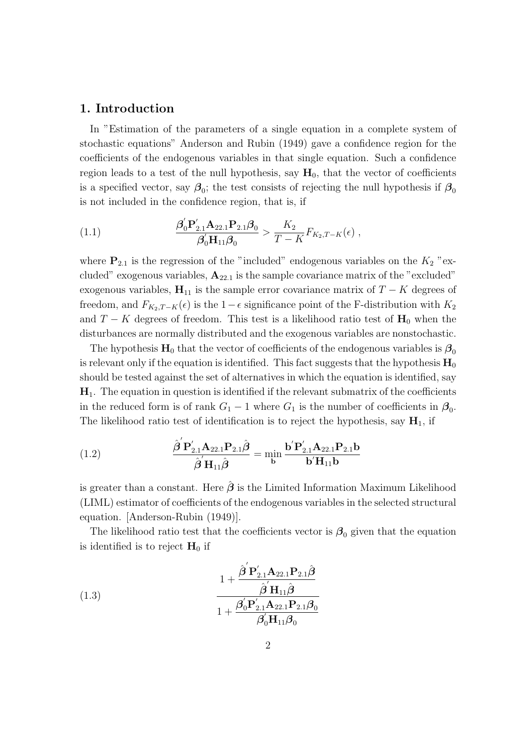## **1. Introduction**

In "Estimation of the parameters of a single equation in a complete system of stochastic equations" Anderson and Rubin (1949) gave a confidence region for the coefficients of the endogenous variables in that single equation. Such a confidence region leads to a test of the null hypothesis, say  $H_0$ , that the vector of coefficients is a specified vector, say  $\beta_0$ ; the test consists of rejecting the null hypothesis if  $\beta_0$ is not included in the confidence region, that is, if

(1.1) 
$$
\frac{\beta'_0 \mathbf{P}_{2.1}' \mathbf{A}_{22.1} \mathbf{P}_{2.1} \beta_0}{\beta'_0 \mathbf{H}_{11} \beta_0} > \frac{K_2}{T - K} F_{K_2, T - K}(\epsilon) ,
$$

where  $P_{2,1}$  is the regression of the "included" endogenous variables on the  $K_2$  "excluded" exogenous variables, **A**22*.*<sup>1</sup> is the sample covariance matrix of the "excluded" exogenous variables,  $\mathbf{H}_{11}$  is the sample error covariance matrix of  $T - K$  degrees of freedom, and  $F_{K_2,T-K}(\epsilon)$  is the 1*−* $\epsilon$  significance point of the F-distribution with  $K_2$ and  $T - K$  degrees of freedom. This test is a likelihood ratio test of  $H_0$  when the disturbances are normally distributed and the exogenous variables are nonstochastic.

The hypothesis  $\mathbf{H}_0$  that the vector of coefficients of the endogenous variables is  $\beta_0$ is relevant only if the equation is identified. This fact suggests that the hypothesis  $\mathbf{H}_0$ should be tested against the set of alternatives in which the equation is identified, say  $\mathbf{H}_1$ . The equation in question is identified if the relevant submatrix of the coefficients in the reduced form is of rank  $G_1 - 1$  where  $G_1$  is the number of coefficients in  $\beta_0$ . The likelihood ratio test of identification is to reject the hypothesis, say  $\mathbf{H}_1$ , if

(1.2) 
$$
\frac{\hat{\boldsymbol{\beta}}'\mathbf{P}_{2.1}'\mathbf{A}_{22.1}\mathbf{P}_{2.1}\hat{\boldsymbol{\beta}}}{\hat{\boldsymbol{\beta}}'\mathbf{H}_{11}\hat{\boldsymbol{\beta}}} = \min_{\mathbf{b}} \frac{\mathbf{b}'\mathbf{P}_{2.1}'\mathbf{A}_{22.1}\mathbf{P}_{2.1}\mathbf{b}}{\mathbf{b}'\mathbf{H}_{11}\mathbf{b}}
$$

is greater than a constant. Here  $\hat{\beta}$  is the Limited Information Maximum Likelihood (LIML) estimator of coefficients of the endogenous variables in the selected structural equation. [Anderson-Rubin (1949)].

The likelihood ratio test that the coefficients vector is  $\beta_0$  given that the equation is identified is to reject  $H_0$  if

(1.3)  
\n
$$
\frac{1 + \frac{\hat{\boldsymbol{\beta}}'\mathbf{P}_{2.1}'\mathbf{A}_{22.1}\mathbf{P}_{2.1}\hat{\boldsymbol{\beta}}}{\hat{\boldsymbol{\beta}}'\mathbf{H}_{11}\hat{\boldsymbol{\beta}}}}{1 + \frac{\beta_0'\mathbf{P}_{2.1}'\mathbf{A}_{22.1}\mathbf{P}_{2.1}\beta_0}{\beta_0'\mathbf{H}_{11}\beta_0}}
$$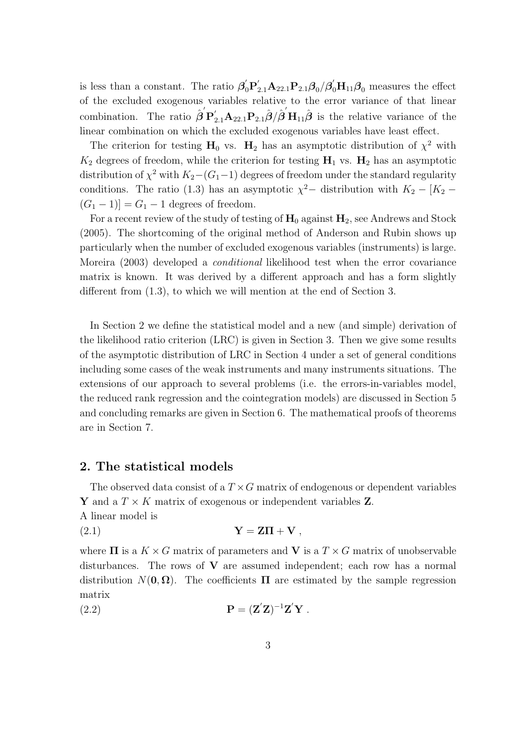is less than a constant. The ratio  $\beta'_0 P'_{2.1} A_{22.1} P_{2.1} \beta_0 / \beta'_0 H_{11} \beta_0$  measures the effect of the excluded exogenous variables relative to the error variance of that linear combination. The ratio  $\hat{\boldsymbol{\beta}}' \mathbf{P}'_{2,1} \mathbf{A}_{22,1} \mathbf{P}_{2,1} \hat{\boldsymbol{\beta}} / \hat{\boldsymbol{\beta}}' \mathbf{H}_{11} \hat{\boldsymbol{\beta}}$  is the relative variance of the linear combination on which the excluded exogenous variables have least effect.

The criterion for testing  $H_0$  vs.  $H_2$  has an asymptotic distribution of  $\chi^2$  with  $K_2$  degrees of freedom, while the criterion for testing  $H_1$  vs.  $H_2$  has an asymptotic distribution of  $\chi^2$  with  $K_2 - (G_1 - 1)$  degrees of freedom under the standard regularity conditions. The ratio (1.3) has an asymptotic  $\chi^2$  – distribution with  $K_2 - [K_2 (G_1 - 1)$ ] =  $G_1 - 1$  degrees of freedom.

For a recent review of the study of testing of  $H_0$  against  $H_2$ , see Andrews and Stock (2005). The shortcoming of the original method of Anderson and Rubin shows up particularly when the number of excluded exogenous variables (instruments) is large. Moreira (2003) developed a *conditional* likelihood test when the error covariance matrix is known. It was derived by a different approach and has a form slightly different from (1.3), to which we will mention at the end of Section 3.

In Section 2 we define the statistical model and a new (and simple) derivation of the likelihood ratio criterion (LRC) is given in Section 3. Then we give some results of the asymptotic distribution of LRC in Section 4 under a set of general conditions including some cases of the weak instruments and many instruments situations. The extensions of our approach to several problems (i.e. the errors-in-variables model, the reduced rank regression and the cointegration models) are discussed in Section 5 and concluding remarks are given in Section 6. The mathematical proofs of theorems are in Section 7.

## **2. The statistical models**

The observed data consist of a *T ×G* matrix of endogenous or dependent variables **Y** and a  $T \times K$  matrix of exogenous or independent variables **Z**.

A linear model is

$$
Y = Z\Pi + V,
$$

where  $\Pi$  is a  $K \times G$  matrix of parameters and **V** is a  $T \times G$  matrix of unobservable disturbances. The rows of **V** are assumed independent; each row has a normal distribution  $N(\mathbf{0}, \mathbf{\Omega})$ . The coefficients  $\Pi$  are estimated by the sample regression matrix

**P** = (**Z** *′* **Z**) *<sup>−</sup>*<sup>1</sup>**Z** *′* (2.2) **Y** *.*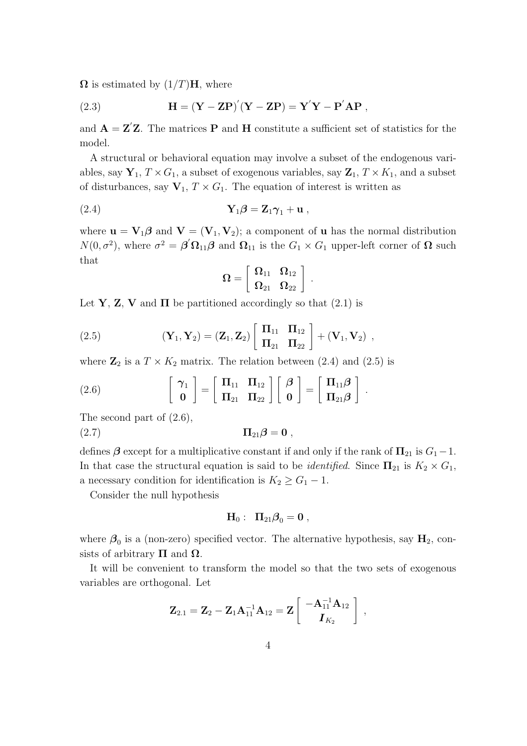$\Omega$  is estimated by  $(1/T)$ **H**, where

(2.3) 
$$
H = (Y - ZP)'(Y - ZP) = Y'Y - P'AP,
$$

and  $\mathbf{A} = \mathbf{Z}'\mathbf{Z}$ . The matrices **P** and **H** constitute a sufficient set of statistics for the model.

A structural or behavioral equation may involve a subset of the endogenous variables, say  $\mathbf{Y}_1, T \times G_1$ , a subset of exogenous variables, say  $\mathbf{Z}_1, T \times K_1$ , and a subset of disturbances, say  $\mathbf{V}_1, T \times G_1$ . The equation of interest is written as

$$
\mathbf{Y}_1 \boldsymbol{\beta} = \mathbf{Z}_1 \boldsymbol{\gamma}_1 + \mathbf{u} \;,
$$

where  $\mathbf{u} = \mathbf{V}_1 \boldsymbol{\beta}$  and  $\mathbf{V} = (\mathbf{V}_1, \mathbf{V}_2)$ ; a component of **u** has the normal distribution *N*(0*,*  $\sigma^2$ *), where*  $\sigma^2 = \beta' \Omega_{11} \beta$  *and*  $\Omega_{11}$  *is the*  $G_1 \times G_1$  *upper-left corner of*  $\Omega$  *such* that

$$
\boldsymbol{\Omega}=\left[\begin{array}{cc}\boldsymbol{\Omega}_{11} & \boldsymbol{\Omega}_{12}\\ \boldsymbol{\Omega}_{21} & \boldsymbol{\Omega}_{22}\end{array}\right]\ .
$$

Let **Y**, **Z**, **V** and  $\Pi$  be partitioned accordingly so that (2.1) is

(2.5) 
$$
(\mathbf{Y}_1, \mathbf{Y}_2) = (\mathbf{Z}_1, \mathbf{Z}_2) \begin{bmatrix} \Pi_{11} & \Pi_{12} \\ \Pi_{21} & \Pi_{22} \end{bmatrix} + (\mathbf{V}_1, \mathbf{V}_2) ,
$$

where  $\mathbb{Z}_2$  is a  $T \times K_2$  matrix. The relation between (2.4) and (2.5) is

(2.6) 
$$
\begin{bmatrix} \gamma_1 \\ \mathbf{0} \end{bmatrix} = \begin{bmatrix} \mathbf{\Pi}_{11} & \mathbf{\Pi}_{12} \\ \mathbf{\Pi}_{21} & \mathbf{\Pi}_{22} \end{bmatrix} \begin{bmatrix} \boldsymbol{\beta} \\ \mathbf{0} \end{bmatrix} = \begin{bmatrix} \mathbf{\Pi}_{11} \boldsymbol{\beta} \\ \mathbf{\Pi}_{21} \boldsymbol{\beta} \end{bmatrix}.
$$

The second part of (2.6),

 $(\text{2.7})$  **Π**<sub>21</sub> $\beta = 0$ ,

defines  $\beta$  except for a multiplicative constant if and only if the rank of  $\Pi_{21}$  is  $G_1 - 1$ . In that case the structural equation is said to be *identified*. Since  $\Pi_{21}$  is  $K_2 \times G_1$ , a necessary condition for identification is  $K_2 \geq G_1 - 1$ .

Consider the null hypothesis

$$
{\bf H}_0:~~\Pi_{21} {\boldsymbol \beta}_0 = {\bf 0} \ ,
$$

where  $\beta_0$  is a (non-zero) specified vector. The alternative hypothesis, say  $H_2$ , consists of arbitrary  $\Pi$  and  $\Omega$ .

It will be convenient to transform the model so that the two sets of exogenous variables are orthogonal. Let

$$
\mathbf{Z}_{2.1} = \mathbf{Z}_2 - \mathbf{Z}_1 \mathbf{A}_{11}^{-1} \mathbf{A}_{12} = \mathbf{Z} \left[ \begin{array}{c} -\mathbf{A}_{11}^{-1} \mathbf{A}_{12}\\ \mathbf{I}_{K_2} \end{array} \right] \;,
$$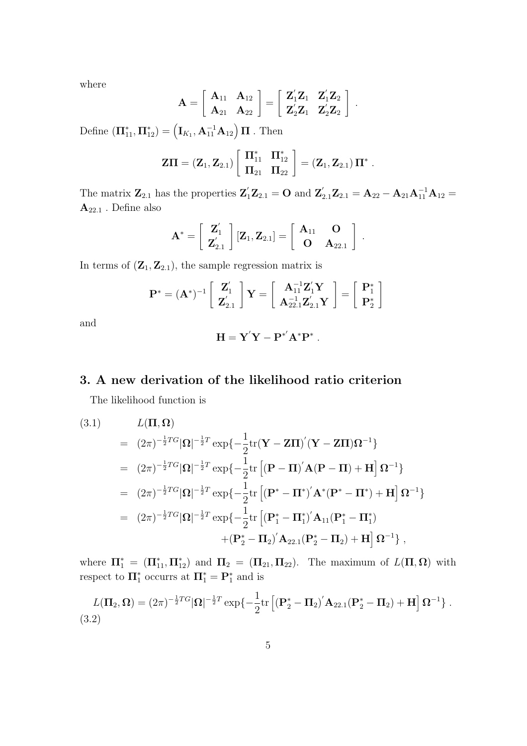where

$$
\mathbf{A} = \left[ \begin{array}{cc} \mathbf{A}_{11} & \mathbf{A}_{12} \\ \mathbf{A}_{21} & \mathbf{A}_{22} \end{array} \right] = \left[ \begin{array}{cc} \mathbf{Z}_1^\prime \mathbf{Z}_1 & \mathbf{Z}_1^\prime \mathbf{Z}_2 \\ \mathbf{Z}_2^\prime \mathbf{Z}_1 & \mathbf{Z}_2^\prime \mathbf{Z}_2 \end{array} \right] \ .
$$

Define  $(\mathbf{\Pi}_{11}^*, \mathbf{\Pi}_{12}^*) = (\mathbf{I}_{K_1}, \mathbf{A}_{11}^{-1} \mathbf{A}_{12}) \mathbf{\Pi}$  . Then

$$
Z\Pi = (Z_1, Z_{2.1}) \left[ \begin{array}{cc} \Pi_{11}^* & \Pi_{12}^* \\ \Pi_{21} & \Pi_{22} \end{array} \right] = (Z_1, Z_{2.1}) \Pi^*.
$$

The matrix  $\mathbf{Z}_{2.1}$  has the properties  $\mathbf{Z}'_1 \mathbf{Z}_{2.1} = \mathbf{O}$  and  $\mathbf{Z}'_{2.1} \mathbf{Z}_{2.1} = \mathbf{A}_{22} - \mathbf{A}_{21} \mathbf{A}_{11}^{-1} \mathbf{A}_{12} =$  $\mathbf{A}_{22.1}$  . Define also

$$
\mathbf{A}^* = \left[ \begin{array}{c} \mathbf{Z}_1' \\ \mathbf{Z}_{2.1}' \end{array} \right] [\mathbf{Z}_1, \mathbf{Z}_{2.1}] = \left[ \begin{array}{cc} \mathbf{A}_{11} & \mathbf{O} \\ \mathbf{O} & \mathbf{A}_{22.1} \end{array} \right]
$$

*.*

In terms of  $(\mathbf{Z}_1, \mathbf{Z}_{2,1})$ , the sample regression matrix is

$$
\mathbf{P}^* = (\mathbf{A}^*)^{-1} \left[\begin{array}{c} \mathbf{Z}_1' \\ \mathbf{Z}_{2.1}'\end{array}\right]\mathbf{Y} = \left[\begin{array}{c} \mathbf{A}_{11}^{-1}\mathbf{Z}_1'\mathbf{Y} \\ \mathbf{A}_{22.1}^{-1}\mathbf{Z}_{2.1}'\mathbf{Y}\end{array}\right] = \left[\begin{array}{c} \mathbf{P}_1^* \\ \mathbf{P}_2^*\end{array}\right]
$$

and

$$
\mathbf{H} = \mathbf{Y}'\mathbf{Y} - \mathbf{P}^{*'}\mathbf{A}^*\mathbf{P}^*.
$$

# **3. A new derivation of the likelihood ratio criterion**

The likelihood function is

(3.1) 
$$
L(\Pi, \Omega) = (2\pi)^{-\frac{1}{2}T G} |\Omega|^{-\frac{1}{2}T} \exp\{-\frac{1}{2} \text{tr}(\mathbf{Y} - \mathbf{Z}\Pi)'(\mathbf{Y} - \mathbf{Z}\Pi)\Omega^{-1}\}
$$
  
\n
$$
= (2\pi)^{-\frac{1}{2}T G} |\Omega|^{-\frac{1}{2}T} \exp\{-\frac{1}{2} \text{tr} [(\mathbf{P} - \Pi)' \mathbf{A} (\mathbf{P} - \Pi) + \mathbf{H}] \Omega^{-1}\}
$$
  
\n
$$
= (2\pi)^{-\frac{1}{2}T G} |\Omega|^{-\frac{1}{2}T} \exp\{-\frac{1}{2} \text{tr} [(\mathbf{P}^* - \Pi^*)' \mathbf{A}^* (\mathbf{P}^* - \Pi^*) + \mathbf{H}] \Omega^{-1}\}
$$
  
\n
$$
= (2\pi)^{-\frac{1}{2}T G} |\Omega|^{-\frac{1}{2}T} \exp\{-\frac{1}{2} \text{tr} [(\mathbf{P}_1^* - \Pi_1^*)' \mathbf{A}_{11} (\mathbf{P}_1^* - \Pi_1^*)
$$
  
\n
$$
+ (\mathbf{P}_2^* - \Pi_2)' \mathbf{A}_{22.1} (\mathbf{P}_2^* - \Pi_2) + \mathbf{H} ] \Omega^{-1} \},
$$

where  $\Pi_1^* = (\Pi_{11}^*, \Pi_{12}^*)$  and  $\Pi_2 = (\Pi_{21}, \Pi_{22})$ . The maximum of  $L(\Pi, \Omega)$  with respect to  $\Pi_1^*$  occurrs at  $\Pi_1^* = \mathbf{P}_1^*$  and is

$$
L(\Pi_2, \Omega) = (2\pi)^{-\frac{1}{2}T G} |\Omega|^{-\frac{1}{2}T} \exp\{-\frac{1}{2} \text{tr}\left[ (\mathbf{P}_2^* - \Pi_2)' \mathbf{A}_{22.1} (\mathbf{P}_2^* - \Pi_2) + \mathbf{H} \right] \Omega^{-1} \}.
$$
\n(3.2)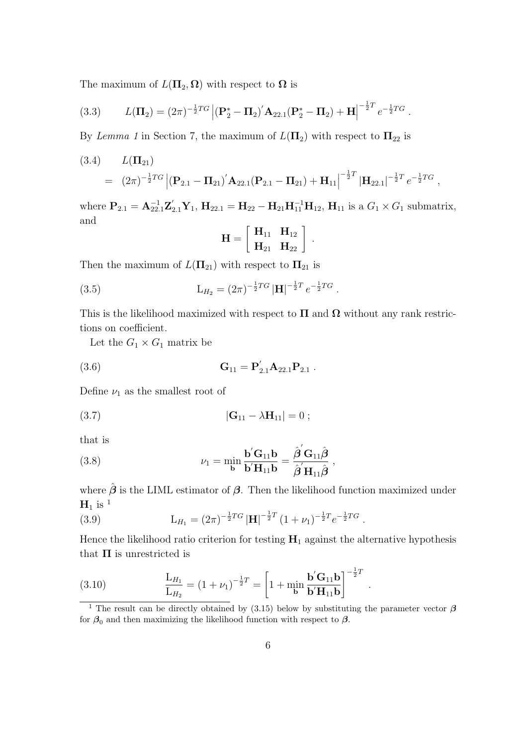The maximum of  $L(\Pi_2, \Omega)$  with respect to  $\Omega$  is

(3.3) 
$$
L(\Pi_2) = (2\pi)^{-\frac{1}{2}TG} |(\mathbf{P}_2^* - \Pi_2)' \mathbf{A}_{22.1} (\mathbf{P}_2^* - \Pi_2) + \mathbf{H}|^{-\frac{1}{2}T} e^{-\frac{1}{2}TG}.
$$

By *Lemma 1* in Section 7, the maximum of  $L(\Pi_2)$  with respect to  $\Pi_{22}$  is

(3.4) 
$$
L(\Pi_{21}) = (2\pi)^{-\frac{1}{2}TG} |(\mathbf{P}_{2.1} - \Pi_{21})' \mathbf{A}_{22.1}(\mathbf{P}_{2.1} - \Pi_{21}) + \mathbf{H}_{11}|^{-\frac{1}{2}T} |\mathbf{H}_{22.1}|^{-\frac{1}{2}T} e^{-\frac{1}{2}TG},
$$

where  $P_{2,1} = A_{22,1}^{-1} Z_{2,1}' Y_1$ ,  $H_{22,1} = H_{22} - H_{21} H_{11}^{-1} H_{12}$ ,  $H_{11}$  is a  $G_1 \times G_1$  submatrix, and

$$
\mathbf{H} = \left[ \begin{array}{cc} \mathbf{H}_{11} & \mathbf{H}_{12} \\ \mathbf{H}_{21} & \mathbf{H}_{22} \end{array} \right] .
$$

Then the maximum of  $L(\Pi_{21})$  with respect to  $\Pi_{21}$  is

(3.5) 
$$
L_{H_2} = (2\pi)^{-\frac{1}{2}TG} |H|^{-\frac{1}{2}T} e^{-\frac{1}{2}TG}.
$$

This is the likelihood maximized with respect to  $\Pi$  and  $\Omega$  without any rank restrictions on coefficient.

Let the  $G_1 \times G_1$  matrix be

(3.6) 
$$
\mathbf{G}_{11} = \mathbf{P}_{2.1}^{\prime} \mathbf{A}_{22.1} \mathbf{P}_{2.1} .
$$

Define  $\nu_1$  as the smallest root of

(3.7) 
$$
|\mathbf{G}_{11} - \lambda \mathbf{H}_{11}| = 0 ;
$$

that is

(3.8) 
$$
\nu_1 = \min_{\mathbf{b}} \frac{\mathbf{b}' \mathbf{G}_{11} \mathbf{b}}{\mathbf{b}' \mathbf{H}_{11} \mathbf{b}} = \frac{\hat{\boldsymbol{\beta}}' \mathbf{G}_{11} \hat{\boldsymbol{\beta}}}{\hat{\boldsymbol{\beta}}' \mathbf{H}_{11} \hat{\boldsymbol{\beta}}},
$$

where  $\hat{\beta}$  is the LIML estimator of  $\beta$ . Then the likelihood function maximized under  $H_1$  is <sup>1</sup>

(3.9) 
$$
L_{H_1} = (2\pi)^{-\frac{1}{2}TG} |H|^{-\frac{1}{2}T} (1 + \nu_1)^{-\frac{1}{2}T} e^{-\frac{1}{2}TG}.
$$

Hence the likelihood ratio criterion for testing  $H_1$  against the alternative hypothesis that  $\Pi$  is unrestricted is

(3.10) 
$$
\frac{L_{H_1}}{L_{H_2}} = (1 + \nu_1)^{-\frac{1}{2}T} = \left[1 + \min_{\mathbf{b}} \frac{\mathbf{b}' \mathbf{G}_{11} \mathbf{b}}{\mathbf{b}' \mathbf{H}_{11} \mathbf{b}}\right]^{-\frac{1}{2}T}.
$$

<sup>&</sup>lt;sup>1</sup> The result can be directly obtained by (3.15) below by substituting the parameter vector  $\beta$ for  $\beta_0$  and then maximizing the likelihood function with respect to  $\beta$ .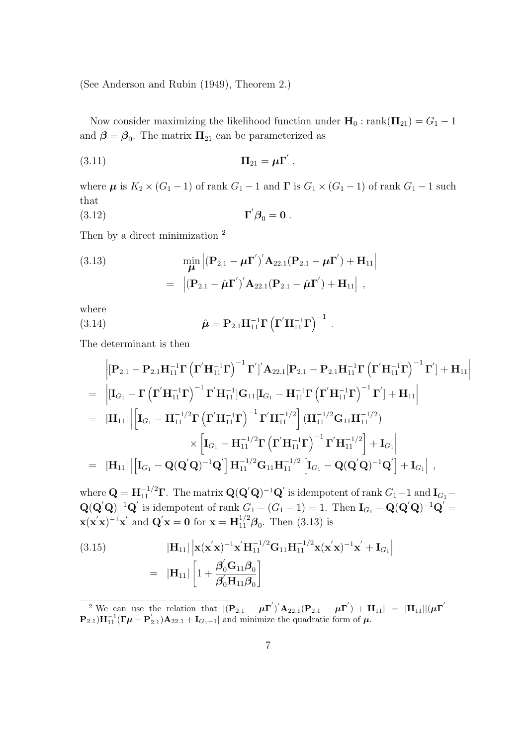(See Anderson and Rubin (1949), Theorem 2.)

Now consider maximizing the likelihood function under  $\mathbf{H}_0$  : rank $(\mathbf{\Pi}_{21}) = G_1 - 1$ and  $\beta = \beta_0$ . The matrix  $\Pi_{21}$  can be parameterized as

$$
\Pi_{21} = \mu \Gamma' ,
$$

where  $\mu$  is  $K_2 \times (G_1 - 1)$  of rank  $G_1 - 1$  and  $\Gamma$  is  $G_1 \times (G_1 - 1)$  of rank  $G_1 - 1$  such that

$$
\Gamma' \beta_0 = \mathbf{0} \ .
$$

Then by a direct minimization  $2$ 

(3.13) 
$$
\min_{\mu} |(\mathbf{P}_{2.1} - \mu \mathbf{\Gamma}')' \mathbf{A}_{22.1} (\mathbf{P}_{2.1} - \mu \mathbf{\Gamma}') + \mathbf{H}_{11}|
$$

$$
= |(\mathbf{P}_{2.1} - \hat{\mu} \mathbf{\Gamma}')' \mathbf{A}_{22.1} (\mathbf{P}_{2.1} - \hat{\mu} \mathbf{\Gamma}') + \mathbf{H}_{11}|,
$$

where

(3.14) 
$$
\hat{\mu} = P_{2.1} H_{11}^{-1} \Gamma \left( \Gamma' H_{11}^{-1} \Gamma \right)^{-1} .
$$

The determinant is then

$$
\begin{aligned}\n&\left| \left[ \mathbf{P}_{2.1} - \mathbf{P}_{2.1} \mathbf{H}_{11}^{-1} \boldsymbol{\Gamma} \left( \boldsymbol{\Gamma}^{\prime} \mathbf{H}_{11}^{-1} \boldsymbol{\Gamma} \right)^{-1} \boldsymbol{\Gamma}^{\prime} \right]^{2} A_{22.1} \left[ \mathbf{P}_{2.1} - \mathbf{P}_{2.1} \mathbf{H}_{11}^{-1} \boldsymbol{\Gamma} \left( \boldsymbol{\Gamma}^{\prime} \mathbf{H}_{11}^{-1} \boldsymbol{\Gamma} \right)^{-1} \boldsymbol{\Gamma}^{\prime} \right] + \mathbf{H}_{11} \right| \\
&= \left| \left[ \mathbf{I}_{G_{1}} - \boldsymbol{\Gamma} \left( \boldsymbol{\Gamma}^{\prime} \mathbf{H}_{11}^{-1} \boldsymbol{\Gamma} \right)^{-1} \boldsymbol{\Gamma}^{\prime} \mathbf{H}_{11}^{-1} \right] \mathbf{G}_{11} \left[ \mathbf{I}_{G_{1}} - \mathbf{H}_{11}^{-1} \boldsymbol{\Gamma} \left( \boldsymbol{\Gamma}^{\prime} \mathbf{H}_{11}^{-1} \boldsymbol{\Gamma} \right)^{-1} \boldsymbol{\Gamma}^{\prime} \right] + \mathbf{H}_{11} \right| \\
&= \left| \mathbf{H}_{11} \right| \left| \left[ \mathbf{I}_{G_{1}} - \mathbf{H}_{11}^{-1/2} \boldsymbol{\Gamma} \left( \boldsymbol{\Gamma}^{\prime} \mathbf{H}_{11}^{-1} \boldsymbol{\Gamma} \right)^{-1} \boldsymbol{\Gamma}^{\prime} \mathbf{H}_{11}^{-1/2} \right] \left( \mathbf{H}_{11}^{-1/2} \mathbf{G}_{11} \mathbf{H}_{11}^{-1/2} \right) \right. \\
&\left. \left| \mathbf{I}_{G_{1}} - \mathbf{H}_{11}^{-1/2} \boldsymbol{\Gamma} \left( \boldsymbol{\Gamma}^{\prime} \mathbf{H}_{11}^{-1/2} \boldsymbol{\Gamma} \left( \boldsymbol{\Gamma}^{\prime} \mathbf{H}_{11}^{-1} \boldsymbol{\Gamma} \right)^{-1} \boldsymbol{\Gamma}^{\prime} \mathbf{H}_{11}^{-1/2} \right] + \mathbf{I}_{G_{1}} \right| \\
&= \left| \mathbf{H}_{11} \right| \left| \left[ \mathbf{I}_{G_{1}} - \
$$

where  $\mathbf{Q} = \mathbf{H}_{11}^{-1/2} \mathbf{\Gamma}$ . The matrix  $\mathbf{Q}(\mathbf{Q}'\mathbf{Q})^{-1}\mathbf{Q}'$  is idempotent of rank  $G_1 - 1$  and  $\mathbf{I}_{G_1} \mathbf{Q}(\mathbf{Q}'\mathbf{Q})^{-1}\mathbf{Q}'$  is idempotent of rank  $G_1 - (G_1 - 1) = 1$ . Then  $\mathbf{I}_{G_1} - \mathbf{Q}(\mathbf{Q}'\mathbf{Q})^{-1}\mathbf{Q}' =$  $\mathbf{x}(\mathbf{x}'\mathbf{x})^{-1}\mathbf{x}'$  and  $\mathbf{Q}'\mathbf{x} = \mathbf{0}$  for  $\mathbf{x} = \mathbf{H}_{11}^{1/2}\boldsymbol{\beta}_0$ . Then (3.13) is

(3.15) 
$$
|\mathbf{H}_{11}| \left| \mathbf{x} (\mathbf{x}^{'} \mathbf{x})^{-1} \mathbf{x}^{'} \mathbf{H}_{11}^{-1/2} \mathbf{G}_{11} \mathbf{H}_{11}^{-1/2} \mathbf{x} (\mathbf{x}^{'} \mathbf{x})^{-1} \mathbf{x}^{'} + \mathbf{I}_{G_1} \right|
$$

$$
= |\mathbf{H}_{11}| \left[ 1 + \frac{\beta_0^{'} \mathbf{G}_{11} \beta_0}{\beta_0^{'} \mathbf{H}_{11} \beta_0} \right]
$$

<sup>&</sup>lt;sup>2</sup> We can use the relation that  $|({\bf P}_{2.1} - \mu {\bf \Gamma}')' {\bf A}_{22.1}({\bf P}_{2.1} - \mu {\bf \Gamma}') + {\bf H}_{11}| = |{\bf H}_{11}||(\mu {\bf \Gamma}') \mathbf{P}_{2,1}$ )**H**<sub>1</sub><sup>-1</sup><sub>1</sub></sub> ( $\mathbf{\Gamma}\mu - \mathbf{P}_{2,1}'$ )**A**<sub>22.1</sub> + **I**<sub>*G*<sub>1</sub>-1</sub> and minimize the quadratic form of  $\mu$ .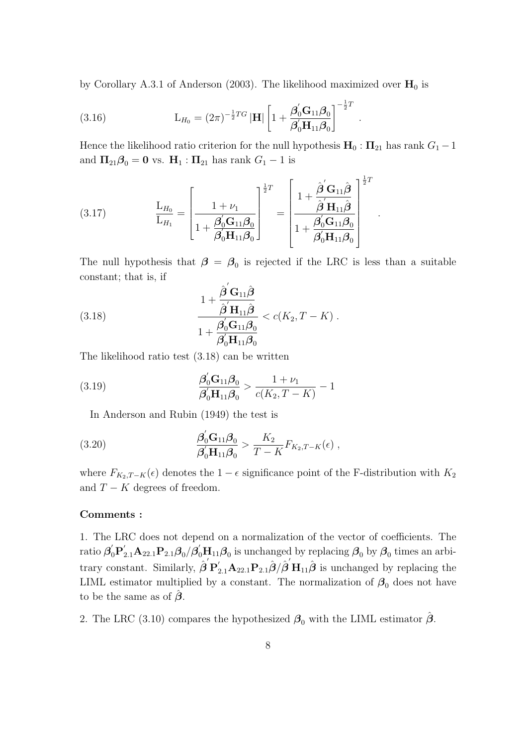by Corollary A.3.1 of Anderson (2003). The likelihood maximized over  $H_0$  is

(3.16) 
$$
L_{H_0} = (2\pi)^{-\frac{1}{2}TG} |\mathbf{H}| \left[ 1 + \frac{\beta'_0 \mathbf{G}_{11} \beta_0}{\beta'_0 \mathbf{H}_{11} \beta_0} \right]^{-\frac{1}{2}T}.
$$

Hence the likelihood ratio criterion for the null hypothesis  $\mathbf{H}_0 : \Pi_{21}$  has rank  $G_1 - 1$ and  $\Pi_{21}\beta_0 = 0$  vs.  $H_1 : \Pi_{21}$  has rank  $G_1 - 1$  is

(3.17) 
$$
\frac{\mathbf{L}_{H_0}}{\mathbf{L}_{H_1}} = \left[\frac{1 + \nu_1}{1 + \frac{\beta_0' \mathbf{G}_{11} \beta_0}{\beta_0' \mathbf{H}_{11} \beta_0}}\right]^{\frac{1}{2}T} = \left[\frac{1 + \frac{\hat{\beta}' \mathbf{G}_{11} \hat{\beta}}{\hat{\beta}' \mathbf{H}_{11} \hat{\beta}}}{1 + \frac{\beta_0' \mathbf{G}_{11} \beta_0}{\beta_0' \mathbf{H}_{11} \beta_0}}\right]^{\frac{1}{2}T}.
$$

The null hypothesis that  $\beta = \beta_0$  is rejected if the LRC is less than a suitable constant; that is, if

(3.18) 
$$
\frac{1 + \frac{\hat{\boldsymbol{\beta}}' \mathbf{G}_{11} \hat{\boldsymbol{\beta}}}{\hat{\boldsymbol{\beta}}' \mathbf{H}_{11} \hat{\boldsymbol{\beta}}}}{1 + \frac{\boldsymbol{\beta}_0' \mathbf{G}_{11} \boldsymbol{\beta}_0}{\boldsymbol{\beta}_0' \mathbf{H}_{11} \boldsymbol{\beta}_0}} < c(K_2, T - K) .
$$

The likelihood ratio test (3.18) can be written

(3.19) 
$$
\frac{\beta_0' \mathbf{G}_{11} \beta_0}{\beta_0' \mathbf{H}_{11} \beta_0} > \frac{1 + \nu_1}{c(K_2, T - K)} - 1
$$

In Anderson and Rubin (1949) the test is

(3.20) 
$$
\frac{\beta_0' G_{11} \beta_0}{\beta_0' H_{11} \beta_0} > \frac{K_2}{T - K} F_{K_2, T - K}(\epsilon) ,
$$

where  $F_{K_2,T-K}(\epsilon)$  denotes the 1 *−*  $\epsilon$  significance point of the F-distribution with  $K_2$ and  $T - K$  degrees of freedom.

#### **Comments :**

1. The LRC does not depend on a normalization of the vector of coefficients. The  $\mathcal{B}_0' \mathbf{P}_{2.1}' \mathbf{A}_{22.1} \mathbf{P}_{2.1} \boldsymbol{\beta}_0 / \boldsymbol{\beta}_0' \mathbf{H}_{11} \boldsymbol{\beta}_0$  is unchanged by replacing  $\boldsymbol{\beta}_0$  by  $\boldsymbol{\beta}_0$  times an arbitrary constant. Similarly,  $\hat{\boldsymbol{\beta}}' \mathbf{P}_{2,1}' \mathbf{A}_{22,1} \mathbf{P}_{2,1} \hat{\boldsymbol{\beta}} / \hat{\boldsymbol{\beta}}' \mathbf{H}_{11} \hat{\boldsymbol{\beta}}$  is unchanged by replacing the LIML estimator multiplied by a constant. The normalization of  $\beta_0$  does not have to be the same as of  $\hat{\beta}$ .

2. The LRC (3.10) compares the hypothesized  $\beta_0$  with the LIML estimator  $\hat{\beta}$ .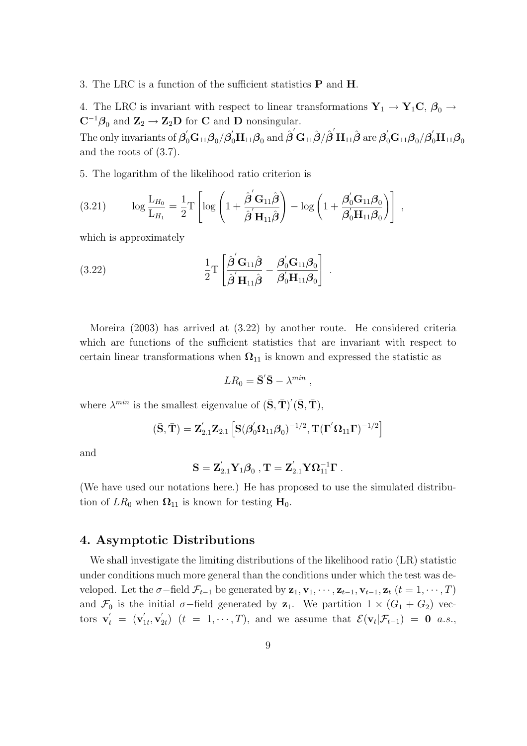#### 3. The LRC is a function of the sufficient statistics **P** and **H**.

4. The LRC is invariant with respect to linear transformations  $Y_1 \rightarrow Y_1C$ ,  $\beta_0 \rightarrow$ **C**<sup>−1</sup> $\beta_0$  and **Z**<sub>2</sub> → **Z**<sub>2</sub>**D** for **C** and **D** nonsingular. The only invariants of  $\bm{\beta}_0^{'}\mathbf{G}_{11}\bm{\beta}_0/\bm{\beta}_0^{'}\mathbf{H}_{11}\bm{\beta}_0$  and  $\hat{\bm{\beta}}^{'}\mathbf{G}_{11}\hat{\bm{\beta}}/\hat{\bm{\beta}}^{'}\mathbf{H}_{11}\hat{\bm{\beta}}$  are  $\bm{\beta}_0^{'}\mathbf{G}_{11}\bm{\beta}_0/\bm{\beta}_0^{'}\mathbf{H}_{11}\bm{\beta}_0$ and the roots of (3.7).

5. The logarithm of the likelihood ratio criterion is

(3.21) 
$$
\log \frac{\mathcal{L}_{H_0}}{\mathcal{L}_{H_1}} = \frac{1}{2} \mathcal{T} \left[ \log \left( 1 + \frac{\hat{\boldsymbol{\beta}}' \mathbf{G}_{11} \hat{\boldsymbol{\beta}}}{\hat{\boldsymbol{\beta}}' \mathbf{H}_{11} \hat{\boldsymbol{\beta}}} \right) - \log \left( 1 + \frac{\boldsymbol{\beta}_0' \mathbf{G}_{11} \boldsymbol{\beta}_0}{\boldsymbol{\beta}_0' \mathbf{H}_{11} \boldsymbol{\beta}_0} \right) \right],
$$

which is approximately

(3.22) 
$$
\frac{1}{2}T\left[\frac{\hat{\boldsymbol{\beta}}'\mathbf{G}_{11}\hat{\boldsymbol{\beta}}}{\hat{\boldsymbol{\beta}}'\mathbf{H}_{11}\hat{\boldsymbol{\beta}}}-\frac{\boldsymbol{\beta}_0'\mathbf{G}_{11}\boldsymbol{\beta}_0}{\boldsymbol{\beta}_0'\mathbf{H}_{11}\boldsymbol{\beta}_0}\right].
$$

Moreira (2003) has arrived at (3.22) by another route. He considered criteria which are functions of the sufficient statistics that are invariant with respect to certain linear transformations when  $\Omega_{11}$  is known and expressed the statistic as

$$
LR_0 = \bar{\mathbf{S}}' \bar{\mathbf{S}} - \lambda^{min} ,
$$

where  $\lambda^{min}$  is the smallest eigenvalue of  $(\bar{S}, \bar{T})'(\bar{S}, \bar{T})$ ,

$$
(\bar{\mathbf{S}}, \bar{\mathbf{T}}) = \mathbf{Z}_{2.1}' \mathbf{Z}_{2.1} \left[ \mathbf{S} (\boldsymbol{\beta}_0' \boldsymbol{\Omega}_{11} \boldsymbol{\beta}_0)^{-1/2}, \mathbf{T} (\boldsymbol{\Gamma}' \boldsymbol{\Omega}_{11} \boldsymbol{\Gamma})^{-1/2} \right]
$$

and

$$
\mathbf{S} = \mathbf{Z}_{2.1}^\prime \mathbf{Y}_1 \boldsymbol{\beta}_0 \ , \mathbf{T} = \mathbf{Z}_{2.1}^\prime \mathbf{Y} \boldsymbol{\Omega}_{11}^{-1} \boldsymbol{\Gamma} \ .
$$

(We have used our notations here.) He has proposed to use the simulated distribution of  $LR_0$  when  $\Omega_{11}$  is known for testing  $H_0$ .

## **4. Asymptotic Distributions**

We shall investigate the limiting distributions of the likelihood ratio (LR) statistic under conditions much more general than the conditions under which the test was developed. Let the  $\sigma$ -field  $\mathcal{F}_{t-1}$  be generated by  $\mathbf{z}_1, \mathbf{v}_1, \cdots, \mathbf{z}_{t-1}, \mathbf{v}_{t-1}, \mathbf{z}_t$   $(t = 1, \cdots, T)$ and  $\mathcal{F}_0$  is the initial  $\sigma$ −field generated by  $z_1$ . We partition  $1 \times (G_1 + G_2)$  vectors  $\mathbf{v}'_t = (\mathbf{v}'_{1t}, \mathbf{v}'_{2t})$   $(t = 1, \dots, T)$ , and we assume that  $\mathcal{E}(\mathbf{v}_t | \mathcal{F}_{t-1}) = \mathbf{0}$  a.s.,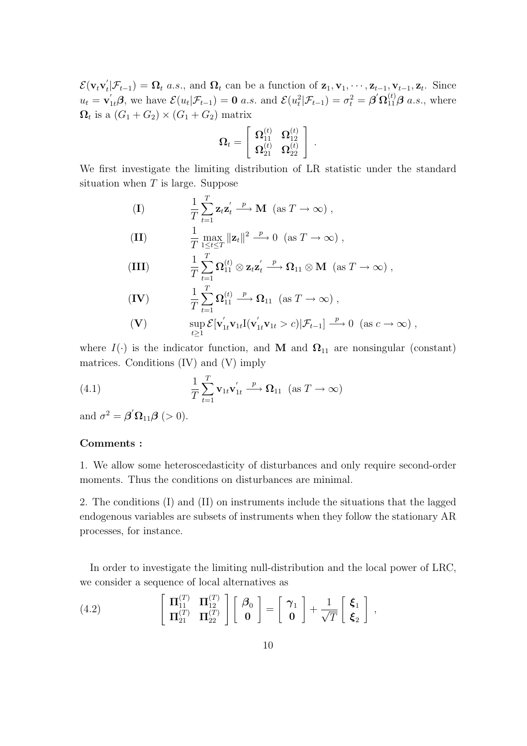$\mathcal{E}(\mathbf{v}_t \mathbf{v}_t' | \mathcal{F}_{t-1}) = \mathbf{\Omega}_t$  a.s., and  $\mathbf{\Omega}_t$  can be a function of  $\mathbf{z}_1, \mathbf{v}_1, \cdots, \mathbf{z}_{t-1}, \mathbf{v}_{t-1}, \mathbf{z}_t$ . Since  $u_t = \mathbf{v}_{1t}'\boldsymbol{\beta}$ , we have  $\mathcal{E}(u_t|\mathcal{F}_{t-1}) = \mathbf{0}$  a.s. and  $\mathcal{E}(u_t^2|\mathcal{F}_{t-1}) = \sigma_t^2 = \boldsymbol{\beta}'\mathbf{\Omega}_{11}^{(t)}\boldsymbol{\beta}$  a.s., where  $\Omega_t$  is a  $(G_1 + G_2) \times (G_1 + G_2)$  matrix

$$
\pmb{\Omega}_t = \left[ \begin{array}{cc} \pmb{\Omega}^{(t)}_{11} & \pmb{\Omega}^{(t)}_{12} \\ \pmb{\Omega}^{(t)}_{21} & \pmb{\Omega}^{(t)}_{22} \end{array} \right] \ .
$$

We first investigate the limiting distribution of LR statistic under the standard situation when *T* is large. Suppose

(1)  
\n
$$
\frac{1}{T} \sum_{t=1}^{T} \mathbf{z}_t \mathbf{z}_t' \xrightarrow{p} \mathbf{M} \ (\text{as } T \to \infty),
$$
\n(III)  
\n
$$
\frac{1}{T} \max_{1 \le t \le T} ||\mathbf{z}_t||^2 \xrightarrow{p} 0 \ (\text{as } T \to \infty),
$$
\n(III)  
\n
$$
\frac{1}{T} \sum_{t=1}^{T} \Omega_{11}^{(t)} \otimes \mathbf{z}_t \mathbf{z}_t' \xrightarrow{p} \Omega_{11} \otimes \mathbf{M} \ (\text{as } T \to \infty),
$$
\n(IV)  
\n
$$
\frac{1}{T} \sum_{t=1}^{T} \Omega_{11}^{(t)} \xrightarrow{p} \Omega_{11} \ (\text{as } T \to \infty),
$$
\n(IV)  
\n
$$
\sup_{t \ge 1} \mathcal{E} [\mathbf{v}_{1t}' \mathbf{v}_{1t} [(\mathbf{v}_{1t}' \mathbf{v}_{1t} > c) | \mathcal{F}_{t-1}] \xrightarrow{p} 0 \ (\text{as } c \to \infty),
$$

where  $I(\cdot)$  is the indicator function, and **M** and  $\Omega_{11}$  are nonsingular (constant) matrices. Conditions (IV) and (V) imply

(4.1) 
$$
\frac{1}{T} \sum_{t=1}^{T} \mathbf{v}_{1t} \mathbf{v}'_{1t} \xrightarrow{p} \mathbf{\Omega}_{11} \quad (\text{as } T \to \infty)
$$

and  $\sigma^2 = \boldsymbol{\beta}' \boldsymbol{\Omega}_{11} \boldsymbol{\beta}$  (> 0).

## **Comments :**

1. We allow some heteroscedasticity of disturbances and only require second-order moments. Thus the conditions on disturbances are minimal.

2. The conditions (I) and (II) on instruments include the situations that the lagged endogenous variables are subsets of instruments when they follow the stationary AR processes, for instance.

In order to investigate the limiting null-distribution and the local power of LRC, we consider a sequence of local alternatives as

(4.2) 
$$
\begin{bmatrix} \Pi_{11}^{(T)} & \Pi_{12}^{(T)} \\ \Pi_{21}^{(T)} & \Pi_{22}^{(T)} \end{bmatrix} \begin{bmatrix} \beta_0 \\ \mathbf{0} \end{bmatrix} = \begin{bmatrix} \gamma_1 \\ \mathbf{0} \end{bmatrix} + \frac{1}{\sqrt{T}} \begin{bmatrix} \boldsymbol{\xi}_1 \\ \boldsymbol{\xi}_2 \end{bmatrix},
$$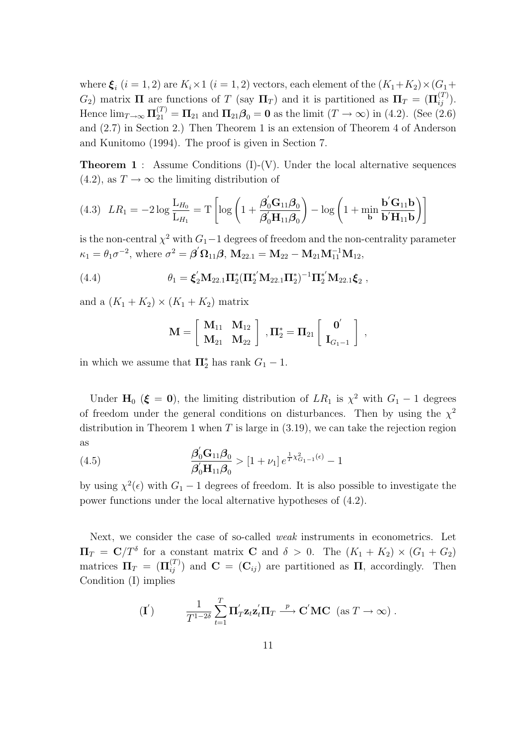where  $\xi_i$  (*i* = 1, 2) are  $K_i \times 1$  (*i* = 1, 2) vectors, each element of the  $(K_1 + K_2) \times (G_1 +$ *G*<sub>2</sub>) matrix **Π** are functions of *T* (say  $\Pi_T$ ) and it is partitioned as  $\Pi_T = (\Pi_{ij}^{(T)})$ . Hence  $\lim_{T \to \infty} \Pi_{21}^{(T)} = \Pi_{21}$  and  $\Pi_{21}\beta_0 = 0$  as the limit  $(T \to \infty)$  in (4.2). (See (2.6) and (2.7) in Section 2.) Then Theorem 1 is an extension of Theorem 4 of Anderson and Kunitomo (1994). The proof is given in Section 7.

**Theorem 1** : Assume Conditions (I)-(V). Under the local alternative sequences  $(4.2)$ , as  $T \rightarrow \infty$  the limiting distribution of

$$
(4.3) \quad LR_1 = -2\log\frac{\mathcal{L}_{H_0}}{\mathcal{L}_{H_1}} = T\left[\log\left(1 + \frac{\boldsymbol{\beta}_0'\mathcal{G}_{11}\boldsymbol{\beta}_0}{\boldsymbol{\beta}_0'\mathcal{H}_{11}\boldsymbol{\beta}_0}\right) - \log\left(1 + \min_{\mathbf{b}}\frac{\mathbf{b}'\mathcal{G}_{11}\mathbf{b}}{\mathbf{b}'\mathcal{H}_{11}\mathbf{b}}\right)\right]
$$

is the non-central  $\chi^2$  with  $G_1-1$  degrees of freedom and the non-centrality parameter  $\kappa_1 = \theta_1 \sigma^{-2}$ , where  $\sigma^2 = \beta' \Omega_{11} \beta$ ,  $M_{22.1} = M_{22} - M_{21} M_{11}^{-1} M_{12}$ ,

(4.4) 
$$
\theta_1 = \xi_2' M_{22.1} \Pi_2^* (\Pi_2^{*'} M_{22.1} \Pi_2^*)^{-1} \Pi_2^{*'} M_{22.1} \xi_2 ,
$$

and a  $(K_1 + K_2) \times (K_1 + K_2)$  matrix

$$
\mathbf{M} = \left[ \begin{array}{cc} \mathbf{M}_{11} & \mathbf{M}_{12} \\ \mathbf{M}_{21} & \mathbf{M}_{22} \end{array} \right] \ , \mathbf{\Pi}_2^* = \mathbf{\Pi}_{21} \left[ \begin{array}{c} \mathbf{0}' \\ \mathbf{I}_{G_1-1} \end{array} \right] \ ,
$$

in which we assume that  $\Pi_2^*$  has rank  $G_1 - 1$ .

Under  $\mathbf{H}_0$  ( $\xi = 0$ ), the limiting distribution of  $LR_1$  is  $\chi^2$  with  $G_1 - 1$  degrees of freedom under the general conditions on disturbances. Then by using the  $\chi^2$ distribution in Theorem 1 when *T* is large in (3.19), we can take the rejection region as

(4.5) 
$$
\frac{\beta'_0 G_{11} \beta_0}{\beta'_0 H_{11} \beta_0} > [1 + \nu_1] e^{\frac{1}{T} \chi^2_{G_1 - 1}(\epsilon)} - 1
$$

by using  $\chi^2(\epsilon)$  with  $G_1 - 1$  degrees of freedom. It is also possible to investigate the power functions under the local alternative hypotheses of (4.2).

Next, we consider the case of so-called *weak* instruments in econometrics. Let  $\Pi_T = \mathbb{C}/T^{\delta}$  for a constant matrix **C** and  $\delta > 0$ . The  $(K_1 + K_2) \times (G_1 + G_2)$ matrices  $\Pi_T = (\Pi_{ij}^{(T)})$  and  $\mathbf{C} = (\mathbf{C}_{ij})$  are partitioned as  $\Pi$ , accordingly. Then Condition (I) implies

$$
\textbf{(I}') \qquad \frac{1}{T^{1-2\delta}} \sum_{t=1}^T \Pi'_T \mathbf{z}_t \mathbf{z}_t' \Pi_T \stackrel{p}{\longrightarrow} \mathbf{C}' \mathbf{M} \mathbf{C} \text{ (as } T \to \infty) .
$$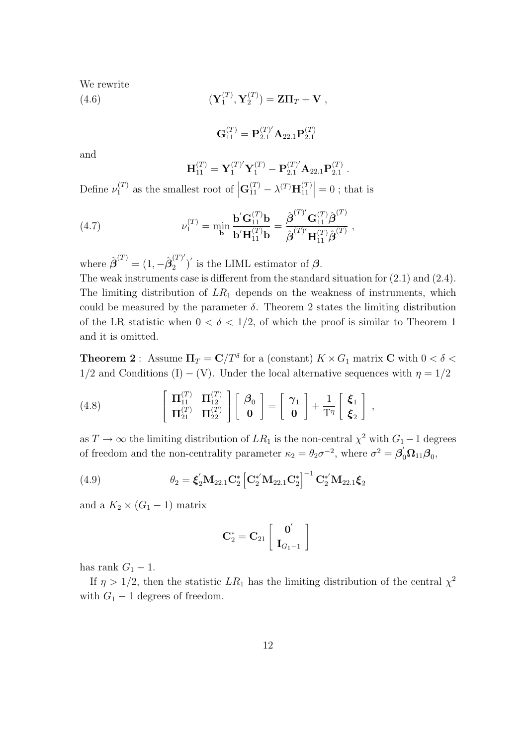We rewrite

 $(\mathbf{Y}^{(T)}_1$  $\mathbf{Y}_1^{(T)}, \mathbf{Y}_2^{(T)}$ (4.6)  $(\mathbf{Y}_1^{(1)}, \mathbf{Y}_2^{(1)}) = \mathbf{Z}\mathbf{\Pi}_T + \mathbf{V}$ ,

$$
\mathbf{G}_{11}^{(T)}=\mathbf{P}_{2.1}^{(T)'}\mathbf{A}_{22.1}\mathbf{P}_{2.1}^{(T)}
$$

and

$$
\mathbf{H}_{11}^{(T)} = \mathbf{Y}_1^{(T)'} \mathbf{Y}_1^{(T)} - \mathbf{P}_{2.1}^{(T)'} \mathbf{A}_{22.1} \mathbf{P}_{2.1}^{(T)}.
$$

Define  $\nu_1^{(T)}$  as the smallest root of  $\left| \mathbf{G}_{11}^{(T)} - \lambda^{(T)} \mathbf{H}_{11}^{(T)} \right|$  $\begin{vmatrix} T \\ 11 \end{vmatrix} = 0$ ; that is

(4.7) 
$$
\nu_1^{(T)} = \min_{\mathbf{b}} \frac{\mathbf{b}' \mathbf{G}_{11}^{(T)} \mathbf{b}}{\mathbf{b}' \mathbf{H}_{11}^{(T)} \mathbf{b}} = \frac{\hat{\boldsymbol{\beta}}^{(T)'} \mathbf{G}_{11}^{(T)} \hat{\boldsymbol{\beta}}^{(T)}}{\hat{\boldsymbol{\beta}}^{(T)} \mathbf{H}_{11}^{(T)} \hat{\boldsymbol{\beta}}^{(T)}},
$$

where  $\hat{\boldsymbol{\beta}}^{(T)} = (1, -\hat{\boldsymbol{\beta}}_2^{(T)'}$  $\binom{1}{2}$  is the LIML estimator of  $\beta$ . The weak instruments case is different from the standard situation for (2.1) and (2.4).

The limiting distribution of *LR*<sup>1</sup> depends on the weakness of instruments, which could be measured by the parameter  $\delta$ . Theorem 2 states the limiting distribution of the LR statistic when  $0 < \delta < 1/2$ , of which the proof is similar to Theorem 1 and it is omitted.

**Theorem 2** : Assume  $\Pi_T = \mathbf{C}/T^{\delta}$  for a (constant)  $K \times G_1$  matrix  $\mathbf{C}$  with  $0 < \delta <$  $1/2$  and Conditions (I) − (V). Under the local alternative sequences with  $\eta = 1/2$ 

(4.8) 
$$
\left[\begin{array}{cc} \Pi_{11}^{(T)} & \Pi_{12}^{(T)} \\ \Pi_{21}^{(T)} & \Pi_{22}^{(T)} \end{array}\right] \left[\begin{array}{c} \beta_0 \\ 0 \end{array}\right] = \left[\begin{array}{c} \gamma_1 \\ 0 \end{array}\right] + \frac{1}{T^{\eta}} \left[\begin{array}{c} \xi_1 \\ \xi_2 \end{array}\right],
$$

as  $T \to \infty$  the limiting distribution of  $LR_1$  is the non-central  $\chi^2$  with  $G_1 - 1$  degrees of freedom and the non-centrality parameter  $\kappa_2 = \theta_2 \sigma^{-2}$ , where  $\sigma^2 = \beta'_0 \Omega_{11} \beta_0$ ,

(4.9) 
$$
\theta_2 = \xi_2' \mathbf{M}_{22.1} \mathbf{C}_2^* \left[ \mathbf{C}_2^{*'} \mathbf{M}_{22.1} \mathbf{C}_2^* \right]^{-1} \mathbf{C}_2^{*'} \mathbf{M}_{22.1} \xi_2
$$

and a  $K_2 \times (G_1 - 1)$  matrix

$$
\mathbf{C}_2^* = \mathbf{C}_{21} \left[ \begin{array}{c} \mathbf{0}' \\ \mathbf{I}_{G_1-1} \end{array} \right]
$$

has rank  $G_1 - 1$ .

If  $\eta > 1/2$ , then the statistic  $LR_1$  has the limiting distribution of the central  $\chi^2$ with  $G_1 - 1$  degrees of freedom.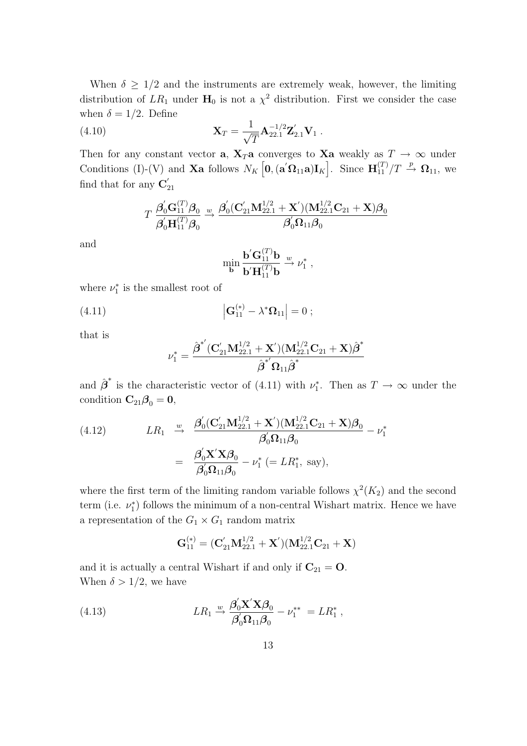When  $\delta \geq 1/2$  and the instruments are extremely weak, however, the limiting distribution of  $LR_1$  under  $H_0$  is not a  $\chi^2$  distribution. First we consider the case when  $\delta = 1/2$ . Define

(4.10) 
$$
\mathbf{X}_T = \frac{1}{\sqrt{T}} \mathbf{A}_{22.1}^{-1/2} \mathbf{Z}_{2.1}' \mathbf{V}_1.
$$

Then for any constant vector **a***,* **X**<sub>*T*</sub>**a** converges to **Xa** weakly as  $T \rightarrow \infty$  under Conditions (I)-(V) and **Xa** follows  $N_K\left[\mathbf{0}, (\mathbf{a}'\mathbf{\Omega}_{11}\mathbf{a})\mathbf{I}_K\right]$ . Since  $\mathbf{H}_{11}^{(T)}/T \stackrel{p}{\rightarrow} \mathbf{\Omega}_{11}$ , we find that for any  $\mathbf{C}'_{21}$ 

$$
T\ \frac{\boldsymbol{\beta}_0^{'}\mathbf{G}_{11}^{(T)}\boldsymbol{\beta}_0}{\boldsymbol{\beta}_0^{'}\mathbf{H}_{11}^{(T)}\boldsymbol{\beta}_0}\overset{w}{\rightarrow}\frac{\boldsymbol{\beta}_0^{'}(\mathbf{C}_{21}^{'}\mathbf{M}_{22.1}^{1/2}+\mathbf{X}^{'})(\mathbf{M}_{22.1}^{1/2}\mathbf{C}_{21}+\mathbf{X})\boldsymbol{\beta}_0}{\boldsymbol{\beta}_0^{'}\boldsymbol{\Omega}_{11}\boldsymbol{\beta}_0}
$$

and

$$
\min_{\mathbf{b}} \frac{\mathbf{b}' \mathbf{G}_{11}^{(T)} \mathbf{b}}{\mathbf{b}' \mathbf{H}_{11}^{(T)} \mathbf{b}} \stackrel{w}{\rightarrow} \nu_1^*,
$$

where  $\nu_1^*$  is the smallest root of

(4.11) 
$$
\left| \mathbf{G}_{11}^{(*)} - \lambda^* \mathbf{\Omega}_{11} \right| = 0 ;
$$

that is

$$
\nu_1^* = \frac{\hat{\boldsymbol{\beta}}^* (\mathbf{C}_{21}^\prime \mathbf{M}_{22.1}^{1/2} + \mathbf{X}^\prime)(\mathbf{M}_{22.1}^{1/2} \mathbf{C}_{21} + \mathbf{X}) \hat{\boldsymbol{\beta}}^*}{\hat{\boldsymbol{\beta}}^*^\prime \boldsymbol{\Omega}_{11} \hat{\boldsymbol{\beta}}^*}
$$

and  $\hat{\boldsymbol{\beta}}^*$  is the characteristic vector of (4.11) with  $\nu_1^*$ . Then as  $T \to \infty$  under the condition  $\mathbf{C}_{21}\boldsymbol{\beta}_0 = \mathbf{0}$ ,

(4.12) 
$$
LR_1 \stackrel{w}{\to} \frac{\beta_0'(\mathbf{C}_{21}'\mathbf{M}_{22.1}^{1/2} + \mathbf{X}')(\mathbf{M}_{22.1}^{1/2}\mathbf{C}_{21} + \mathbf{X})\boldsymbol{\beta}_0}{\beta_0'\Omega_{11}\boldsymbol{\beta}_0} - \nu_1^*
$$

$$
= \frac{\beta_0'\mathbf{X}'\mathbf{X}\boldsymbol{\beta}_0}{\beta_0'\Omega_{11}\boldsymbol{\beta}_0} - \nu_1^* \ (= LR_1^*, \text{ say}),
$$

where the first term of the limiting random variable follows  $\chi^2(K_2)$  and the second term (i.e.  $\nu_1^*$ ) follows the minimum of a non-central Wishart matrix. Hence we have a representation of the  $G_1 \times G_1$  random matrix

$$
\mathbf{G}_{11}^{(*)}=(\mathbf{C}_{21}^{'}\mathbf{M}_{22.1}^{1/2}+\mathbf{X}^{'})(\mathbf{M}_{22.1}^{1/2}\mathbf{C}_{21}+\mathbf{X})
$$

and it is actually a central Wishart if and only if  $C_{21} = 0$ . When  $\delta > 1/2$ , we have

(4.13) 
$$
LR_1 \xrightarrow{w} \frac{\beta_0' \mathbf{X}' \mathbf{X} \beta_0}{\beta_0' \Omega_{11} \beta_0} - \nu_1^{**} = LR_1^*,
$$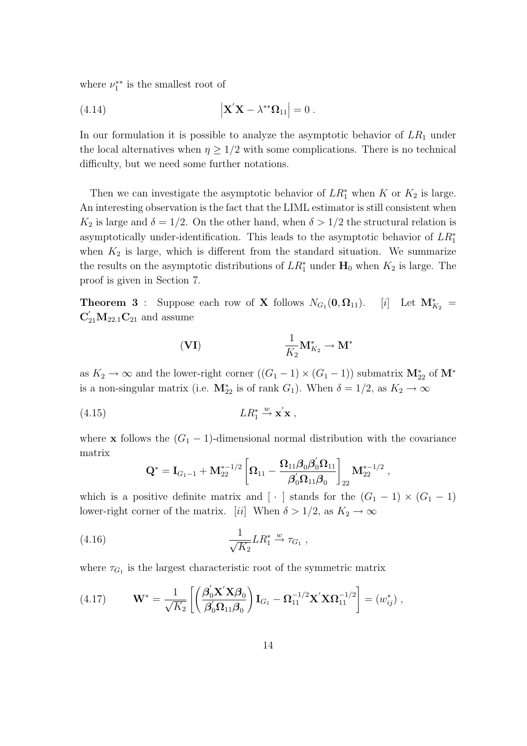where  $\nu_1^{**}$  is the smallest root of

(4.14) 
$$
\left| \mathbf{X}' \mathbf{X} - \lambda^{**} \mathbf{\Omega}_{11} \right| = 0.
$$

In our formulation it is possible to analyze the asymptotic behavior of *LR*<sup>1</sup> under the local alternatives when  $\eta \geq 1/2$  with some complications. There is no technical difficulty, but we need some further notations.

Then we can investigate the asymptotic behavior of  $LR_1^*$  when  $K$  or  $K_2$  is large. An interesting observation is the fact that the LIML estimator is still consistent when  $K_2$  is large and  $\delta = 1/2$ . On the other hand, when  $\delta > 1/2$  the structural relation is asymptotically under-identification. This leads to the asymptotic behavior of *LR<sup>∗</sup>* 1 when  $K_2$  is large, which is different from the standard situation. We summarize the results on the asymptotic distributions of  $LR_1^*$  under  $H_0$  when  $K_2$  is large. The proof is given in Section 7.

**Theorem 3** : Suppose each row of **X** follows  $N_{G_1}(\mathbf{0}, \Omega_{11})$ .  $(0, \Omega_{11})$ . [*i*] Let  $M_{K_2}^* =$  $C'_{21}M_{22.1}C_{21}$  and assume

$$
\mathbf{(VI)} \qquad \qquad \frac{1}{K_2} \mathbf{M}_{K_2}^* \to \mathbf{M}^*
$$

as  $K_2 \to \infty$  and the lower-right corner  $((G_1 - 1) \times (G_1 - 1))$  submatrix  $\mathbf{M}_{22}^*$  of  $\mathbf{M}^*$ is a non-singular matrix (i.e.  $\mathbf{M}_{22}^*$  is of rank  $G_1$ ). When  $\delta = 1/2$ , as  $K_2 \to \infty$ 

$$
(4.15) \t\t\t\t LR_1^* \stackrel{w}{\rightarrow} \mathbf{x}'\mathbf{x} ,
$$

where **x** follows the  $(G_1 - 1)$ -dimensional normal distribution with the covariance matrix

$$
\mathbf{Q}^* = \mathbf{I}_{G_1-1} + \mathbf{M}_{22}^{*-1/2} \left[ \boldsymbol{\Omega}_{11} - \frac{\boldsymbol{\Omega}_{11} \boldsymbol{\beta}_0 \boldsymbol{\beta}_0' \boldsymbol{\Omega}_{11}}{\boldsymbol{\beta}_0' \boldsymbol{\Omega}_{11} \boldsymbol{\beta}_0} \right]_{22} \mathbf{M}_{22}^{*-1/2} \ ,
$$

which is a positive definite matrix and  $\lfloor \cdot \rfloor$  stands for the  $(G_1 - 1) \times (G_1 - 1)$ lower-right corner of the matrix. [*ii*] When  $\delta > 1/2$ , as  $K_2 \to \infty$ 

(4.16) 
$$
\frac{1}{\sqrt{K_2}}LR_1^* \xrightarrow{w} \tau_{G_1},
$$

where  $\tau_{G_1}$  is the largest characteristic root of the symmetric matrix

(4.17) 
$$
\mathbf{W}^* = \frac{1}{\sqrt{K_2}} \left[ \left( \frac{\boldsymbol{\beta}_0' \mathbf{X}' \mathbf{X} \boldsymbol{\beta}_0}{\boldsymbol{\beta}_0' \mathbf{\Omega}_{11} \boldsymbol{\beta}_0} \right) \mathbf{I}_{G_1} - \boldsymbol{\Omega}_{11}^{-1/2} \mathbf{X}' \mathbf{X} \boldsymbol{\Omega}_{11}^{-1/2} \right] = (w_{ij}^*) ,
$$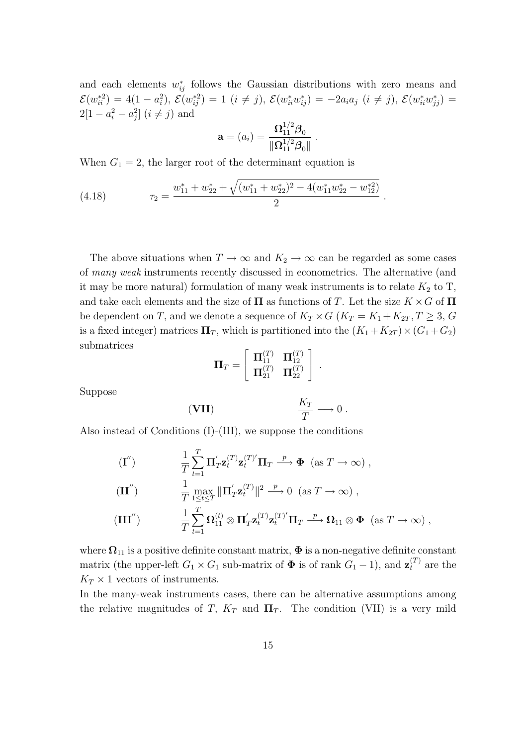and each elements  $w_{ij}^*$  follows the Gaussian distributions with zero means and  $\mathcal{E}(w_{ii}^{*2}) = 4(1-a_i^2), \, \mathcal{E}(w_{ij}^{*2}) = 1 \, (i \neq j), \, \mathcal{E}(w_{ii}^{*}w_{ij}^{*}) = -2a_ia_j \, (i \neq j), \, \mathcal{E}(w_{ii}^{*}w_{jj}^{*}) =$  $2[1 - a_i^2 - a_j^2]$   $(i \neq j)$  and

$$
\mathbf{a} = (a_i) = \frac{\mathbf{\Omega}_{11}^{1/2} \boldsymbol{\beta}_0}{\|\mathbf{\Omega}_{11}^{1/2} \boldsymbol{\beta}_0\|}.
$$

When  $G_1 = 2$ , the larger root of the determinant equation is

(4.18) 
$$
\tau_2 = \frac{w_{11}^* + w_{22}^* + \sqrt{(w_{11}^* + w_{22}^*)^2 - 4(w_{11}^* w_{22}^* - w_{12}^{*2})}}{2}.
$$

The above situations when  $T \to \infty$  and  $K_2 \to \infty$  can be regarded as some cases of *many weak* instruments recently discussed in econometrics. The alternative (and it may be more natural) formulation of many weak instruments is to relate  $K_2$  to  $T$ , and take each elements and the size of  $\Pi$  as functions of *T*. Let the size  $K \times G$  of  $\Pi$ be dependent on *T*, and we denote a sequence of  $K_T \times G$  ( $K_T = K_1 + K_{2T}$ ,  $T \geq 3$ , G is a fixed integer) matrices  $\Pi_T$ , which is partitioned into the  $(K_1 + K_{2T}) \times (G_1 + G_2)$ submatrices

$$
\Pi_T = \left[\begin{array}{cc} \Pi_{11}^{(T)} & \Pi_{12}^{(T)} \\ \Pi_{21}^{(T)} & \Pi_{22}^{(T)} \end{array}\right] \ .
$$

Suppose

(**VII**) *K<sup>T</sup> T −→* 0 *.*

Also instead of Conditions (I)-(III), we suppose the conditions

$$
\begin{aligned}\n(\mathbf{I}^{"}) \qquad & \frac{1}{T} \sum_{t=1}^{T} \mathbf{\Pi}_{T}^{'} \mathbf{z}_{t}^{(T)} \mathbf{z}_{t}^{(T)'} \mathbf{\Pi}_{T} \xrightarrow{p} \Phi \ (\text{as } T \to \infty) \,, \\
(\mathbf{II}^{''}) \qquad & \frac{1}{T} \max_{1 \leq t \leq T} \|\mathbf{\Pi}_{T}^{'} \mathbf{z}_{t}^{(T)}\|^{2} \xrightarrow{p} 0 \ (\text{as } T \to \infty) \,, \\
(\mathbf{III}^{''}) \qquad & \frac{1}{T} \sum_{t=1}^{T} \mathbf{\Omega}_{11}^{(t)} \otimes \mathbf{\Pi}_{T}^{'} \mathbf{z}_{t}^{(T)} \mathbf{Z}_{t}^{(T)} \mathbf{\Pi}_{T} \xrightarrow{p} \mathbf{\Omega}_{11} \otimes \Phi \ (\text{as } T \to \infty) \,,\n\end{aligned}
$$

where  $\Omega_{11}$  is a positive definite constant matrix,  $\Phi$  is a non-negative definite constant matrix (the upper-left  $G_1 \times G_1$  sub-matrix of  $\Phi$  is of rank  $G_1 - 1$ ), and  $\mathbf{z}_t^{(T)}$  are the  $K_T \times 1$  vectors of instruments.

In the many-weak instruments cases, there can be alternative assumptions among the relative magnitudes of *T*,  $K_T$  and  $\Pi_T$ . The condition (VII) is a very mild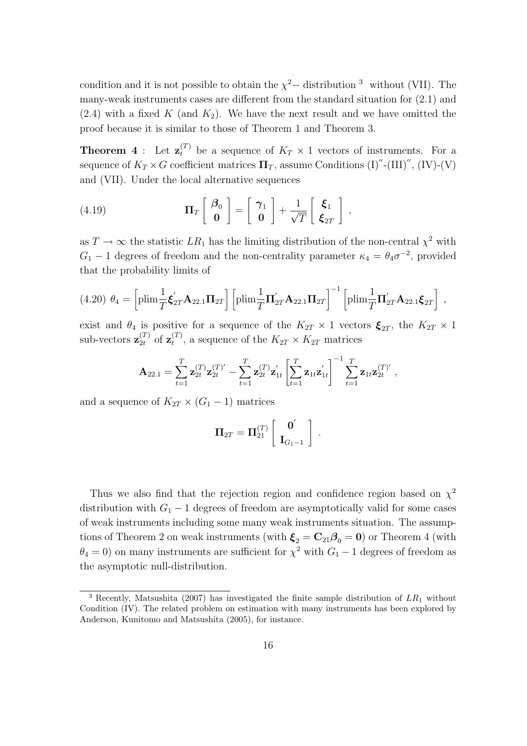condition and it is not possible to obtain the  $\chi^2-$  distribution <sup>3</sup> without (VII). The many-weak instruments cases are different from the standard situation for (2.1) and  $(2.4)$  with a fixed *K* (and  $K_2$ ). We have the next result and we have omitted the proof because it is similar to those of Theorem 1 and Theorem 3.

**Theorem 4**: Let  $\mathbf{z}_t^{(T)}$  be a sequence of  $K_T \times 1$  vectors of instruments. For a sequence of  $K_T \times G$  coefficient matrices  $\Pi_T$ , assume Conditions  $(I)''$ - $(III)''$ ,  $(IV)$ - $(V)$ and (VII). Under the local alternative sequences

(4.19) 
$$
\Pi_T \begin{bmatrix} \beta_0 \\ \mathbf{0} \end{bmatrix} = \begin{bmatrix} \gamma_1 \\ \mathbf{0} \end{bmatrix} + \frac{1}{\sqrt{T}} \begin{bmatrix} \boldsymbol{\xi}_1 \\ \boldsymbol{\xi}_{2T} \end{bmatrix},
$$

as  $T \to \infty$  the statistic  $LR_1$  has the limiting distribution of the non-central  $\chi^2$  with  $G_1$  − 1 degrees of freedom and the non-centrality parameter  $\kappa_4 = \theta_4 \sigma^{-2}$ , provided that the probability limits of

$$
(4.20) \ \theta_4 = \left[\text{plim}\frac{1}{T}\mathbf{\dot{\xi}}_{2T}^{\prime}\mathbf{A}_{22.1}\mathbf{\Pi}_{2T}\right] \left[\text{plim}\frac{1}{T}\mathbf{\Pi}_{2T}^{\prime}\mathbf{A}_{22.1}\mathbf{\Pi}_{2T}\right]^{-1} \left[\text{plim}\frac{1}{T}\mathbf{\Pi}_{2T}^{\prime}\mathbf{A}_{22.1}\mathbf{\dot{\xi}}_{2T}\right] \ ,
$$

exist and  $\theta_4$  is positive for a sequence of the  $K_{2T} \times 1$  vectors  $\xi_{2T}$ , the  $K_{2T} \times 1$ sub-vectors  $\mathbf{z}_{2t}^{(T)}$  of  $\mathbf{z}_t^{(T)}$  $t^{(1)}$ , a sequence of the  $K_{2T} \times K_{2T}$  matrices

$$
\mathbf{A}_{22.1} = \sum_{t=1}^T \mathbf{z}_{2t}^{(T)} \mathbf{z}_{2t}^{(T)'} - \sum_{t=1}^T \mathbf{z}_{2t}^{(T)} \mathbf{z}_{1t}^{'} \left[ \sum_{t=1}^T \mathbf{z}_{1t} \mathbf{z}_{1t}^{'} \right]^{-1} \sum_{t=1}^T \mathbf{z}_{1t} \mathbf{z}_{2t}^{(T)'},
$$

and a sequence of  $K_{2T} \times (G_1 - 1)$  matrices

$$
\Pi_{2T} = \Pi_{21}^{(T)} \left[ \begin{array}{c} \mathbf{0}' \\ \mathbf{I}_{G_1-1} \end{array} \right] .
$$

Thus we also find that the rejection region and confidence region based on  $\chi^2$ distribution with  $G_1 - 1$  degrees of freedom are asymptotically valid for some cases of weak instruments including some many weak instruments situation. The assumptions of Theorem 2 on weak instruments (with  $\xi_2 = C_{21}\beta_0 = 0$ ) or Theorem 4 (with  $\theta_4 = 0$ ) on many instruments are sufficient for  $\chi^2$  with  $G_1 - 1$  degrees of freedom as the asymptotic null-distribution.

<sup>3</sup> Recently, Matsushita (2007) has investigated the finite sample distribution of *LR*<sup>1</sup> without Condition (IV). The related problem on estimation with many instruments has been explored by Anderson, Kunitomo and Matsushita (2005), for instance.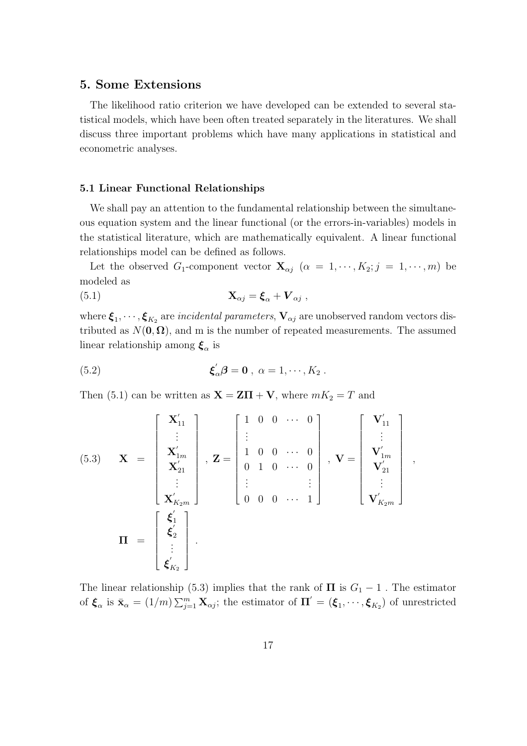## **5. Some Extensions**

The likelihood ratio criterion we have developed can be extended to several statistical models, which have been often treated separately in the literatures. We shall discuss three important problems which have many applications in statistical and econometric analyses.

#### **5.1 Linear Functional Relationships**

We shall pay an attention to the fundamental relationship between the simultaneous equation system and the linear functional (or the errors-in-variables) models in the statistical literature, which are mathematically equivalent. A linear functional relationships model can be defined as follows.

Let the observed *G*<sub>1</sub>-component vector  $\mathbf{X}_{\alpha j}$  ( $\alpha = 1, \dots, K_2; j = 1, \dots, m$ ) be modeled as

(5.1) 
$$
\mathbf{X}_{\alpha j} = \boldsymbol{\xi}_{\alpha} + \boldsymbol{V}_{\alpha j} \ ,
$$

where  $\xi_1, \cdots, \xi_{K_2}$  are *incidental parameters*,  $\mathbf{V}_{\alpha j}$  are unobserved random vectors distributed as  $N(\mathbf{0}, \mathbf{\Omega})$ , and m is the number of repeated measurements. The assumed linear relationship among *ξ<sup>α</sup>* is

(5.2) 
$$
\boldsymbol{\xi}_{\alpha}'\boldsymbol{\beta} = \mathbf{0} , \ \alpha = 1, \cdots, K_2 .
$$

Then (5.1) can be written as  $\mathbf{X} = \mathbf{Z}\mathbf{\Pi} + \mathbf{V}$ , where  $mK_2 = T$  and

(5.3) 
$$
\mathbf{X} = \begin{bmatrix} \mathbf{X}_{11}^{\prime} \\ \vdots \\ \mathbf{X}_{1m}^{\prime} \\ \mathbf{X}_{21}^{\prime} \\ \vdots \\ \mathbf{X}_{K_{2}m}^{\prime} \end{bmatrix}, \mathbf{Z} = \begin{bmatrix} 1 & 0 & 0 & \cdots & 0 \\ \vdots & & & & \\ 1 & 0 & 0 & \cdots & 0 \\ 0 & 1 & 0 & \cdots & 0 \\ \vdots & & & & \vdots \\ 0 & 0 & 0 & \cdots & 1 \end{bmatrix}, \mathbf{V} = \begin{bmatrix} \mathbf{V}_{11}^{\prime} \\ \vdots \\ \mathbf{V}_{1m}^{\prime} \\ \mathbf{V}_{21}^{\prime} \\ \vdots \\ \mathbf{V}_{K_{2}m}^{\prime} \end{bmatrix},
$$

$$
\mathbf{\Pi} = \begin{bmatrix} \boldsymbol{\xi}_{1}^{\prime} \\ \boldsymbol{\xi}_{2}^{\prime} \\ \vdots \\ \boldsymbol{\xi}_{K_{2}}^{\prime} \end{bmatrix}.
$$

The linear relationship (5.3) implies that the rank of  $\Pi$  is  $G_1 - 1$ . The estimator of  $\boldsymbol{\xi}_{\alpha}$  is  $\bar{\mathbf{x}}_{\alpha} = (1/m) \sum_{j=1}^{m} \mathbf{X}_{\alpha j}$ ; the estimator of  $\boldsymbol{\Pi}' = (\boldsymbol{\xi}_{1}, \cdots, \boldsymbol{\xi}_{K_{2}})$  of unrestricted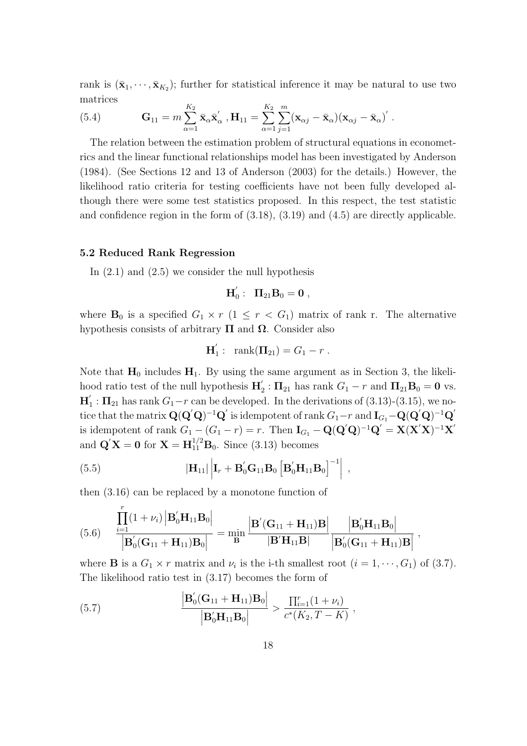rank is  $(\bar{\mathbf{x}}_1, \dots, \bar{\mathbf{x}}_{K_2})$ ; further for statistical inference it may be natural to use two matrices

(5.4) 
$$
\mathbf{G}_{11} = m \sum_{\alpha=1}^{K_2} \bar{\mathbf{x}}_{\alpha} \bar{\mathbf{x}}'_{\alpha}, \mathbf{H}_{11} = \sum_{\alpha=1}^{K_2} \sum_{j=1}^{m} (\mathbf{x}_{\alpha j} - \bar{\mathbf{x}}_{\alpha}) (\mathbf{x}_{\alpha j} - \bar{\mathbf{x}}_{\alpha})'.
$$

The relation between the estimation problem of structural equations in econometrics and the linear functional relationships model has been investigated by Anderson (1984). (See Sections 12 and 13 of Anderson (2003) for the details.) However, the likelihood ratio criteria for testing coefficients have not been fully developed although there were some test statistics proposed. In this respect, the test statistic and confidence region in the form of (3.18), (3.19) and (4.5) are directly applicable.

#### **5.2 Reduced Rank Regression**

In  $(2.1)$  and  $(2.5)$  we consider the null hypothesis

$$
\mathbf{H}_{0}^{'}: \ \ \mathbf{\Pi}_{21}\mathbf{B}_{0}=\mathbf{0}\ ,
$$

where  $\mathbf{B}_0$  is a specified  $G_1 \times r$  ( $1 \leq r < G_1$ ) matrix of rank r. The alternative hypothesis consists of arbitrary  $\Pi$  and  $\Omega$ . Consider also

$$
\mathbf{H}'_1: \ \ \mathrm{rank}(\mathbf{\Pi}_{21})=G_1-r.
$$

Note that  $H_0$  includes  $H_1$ . By using the same argument as in Section 3, the likelihood ratio test of the null hypothesis  $H'_2$ :  $\Pi_{21}$  has rank  $G_1 - r$  and  $\Pi_{21}B_0 = 0$  vs.  $\mathbf{H}'_1$ :  $\mathbf{\Pi}_{21}$  has rank  $G_1 - r$  can be developed. In the derivations of (3.13)-(3.15), we no $i$  tice that the matrix  $\mathbf{Q}(\mathbf{Q}'\mathbf{Q})^{-1}\mathbf{Q}'$  is idempotent of rank  $G_1-r$  and  $\mathbf{I}_{G_1}-\mathbf{Q}(\mathbf{Q}'\mathbf{Q})^{-1}\mathbf{Q}'$ is idempotent of rank  $G_1 - (G_1 - r) = r$ . Then  $\mathbf{I}_{G_1} - \mathbf{Q}(\mathbf{Q}'\mathbf{Q})^{-1}\mathbf{Q}' = \mathbf{X}(\mathbf{X}'\mathbf{X})^{-1}\mathbf{X}'$ and  ${\bf Q}'{\bf X} = {\bf 0}$  for  ${\bf X} = {\bf H}_{11}^{1/2} {\bf B}_0$ . Since (3.13) becomes

(5.5) 
$$
|\mathbf{H}_{11}| \left| \mathbf{I}_r + \mathbf{B}_0' \mathbf{G}_{11} \mathbf{B}_0 \left[ \mathbf{B}_0' \mathbf{H}_{11} \mathbf{B}_0 \right]^{-1} \right| ,
$$

then (3.16) can be replaced by a monotone function of

$$
(5.6)\quad \, \frac{\displaystyle\prod_{i=1}^{r}(1+\nu_i)\left|\mathbf{B}_0^{'}\mathbf{H}_{11}\mathbf{B}_0\right|}{\left|\mathbf{B}_0^{'}(\mathbf{G}_{11}+\mathbf{H}_{11})\mathbf{B}_0\right|}=\min_{\mathbf{B}}\frac{\left|\mathbf{B}^{'}(\mathbf{G}_{11}+\mathbf{H}_{11})\mathbf{B}\right|}{\left|\mathbf{B}^{'}\mathbf{H}_{11}\mathbf{B}\right|}\frac{\left|\mathbf{B}_0^{'}\mathbf{H}_{11}\mathbf{B}_0\right|}{\left|\mathbf{B}_0^{'}(\mathbf{G}_{11}+\mathbf{H}_{11})\mathbf{B}\right|}\ ,
$$

where **B** is a  $G_1 \times r$  matrix and  $\nu_i$  is the i-th smallest root  $(i = 1, \dots, G_1)$  of (3.7). The likelihood ratio test in (3.17) becomes the form of

(5.7) 
$$
\frac{\left| \mathbf{B}_{0}^{'}(\mathbf{G}_{11} + \mathbf{H}_{11}) \mathbf{B}_{0} \right|}{\left| \mathbf{B}_{0}^{'} \mathbf{H}_{11} \mathbf{B}_{0} \right|} > \frac{\prod_{i=1}^{r} (1 + \nu_{i})}{c^{*}(K_{2}, T - K)},
$$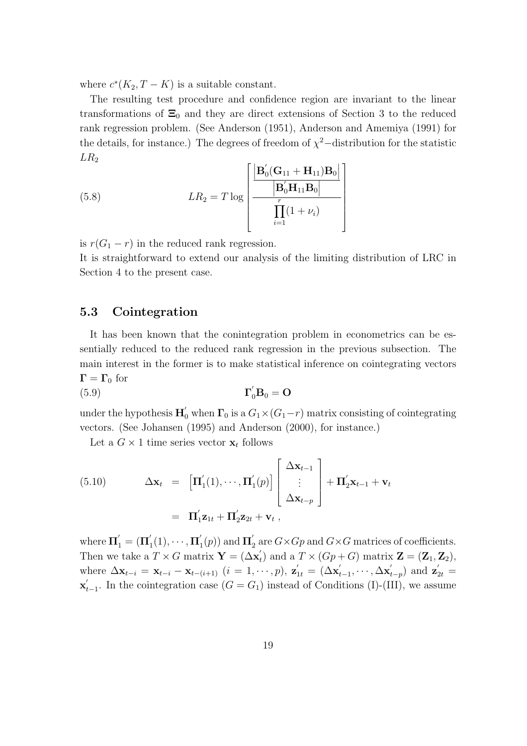where  $c^*(K_2, T - K)$  is a suitable constant.

The resulting test procedure and confidence region are invariant to the linear transformations of  $\Xi_0$  and they are direct extensions of Section 3 to the reduced rank regression problem. (See Anderson (1951), Anderson and Amemiya (1991) for the details, for instance.) The degrees of freedom of  $\chi^2$ −distribution for the statistic  $LR_2$ 

(5.8) 
$$
LR_2 = T \log \left[ \frac{\left| \mathbf{B}_0'(\mathbf{G}_{11} + \mathbf{H}_{11}) \mathbf{B}_0 \right|}{\left| \mathbf{B}_0' \mathbf{H}_{11} \mathbf{B}_0 \right|} \right]
$$

is  $r(G_1 - r)$  in the reduced rank regression.

It is straightforward to extend our analysis of the limiting distribution of LRC in Section 4 to the present case.

## **5.3 Cointegration**

It has been known that the conintegration problem in econometrics can be essentially reduced to the reduced rank regression in the previous subsection. The main interest in the former is to make statistical inference on cointegrating vectors  $\Gamma = \Gamma_0$  for

$$
\Gamma_0^{'} \mathbf{B}_0 = \mathbf{O}
$$

under the hypothesis  $\mathbf{H}'_0$  when  $\mathbf{\Gamma}_0$  is a  $G_1 \times (G_1 - r)$  matrix consisting of cointegrating vectors. (See Johansen (1995) and Anderson (2000), for instance.)

Let a  $G \times 1$  time series vector  $\mathbf{x}_t$  follows

(5.10) 
$$
\Delta \mathbf{x}_t = \left[ \mathbf{\Pi}'_1(1), \cdots, \mathbf{\Pi}'_1(p) \right] \begin{bmatrix} \Delta \mathbf{x}_{t-1} \\ \vdots \\ \Delta \mathbf{x}_{t-p} \end{bmatrix} + \mathbf{\Pi}'_2 \mathbf{x}_{t-1} + \mathbf{v}_t
$$

$$
= \mathbf{\Pi}'_1 \mathbf{z}_{1t} + \mathbf{\Pi}'_2 \mathbf{z}_{2t} + \mathbf{v}_t,
$$

where  $\Pi'_{1} = (\Pi'_{1}(1), \dots, \Pi'_{1}(p))$  and  $\Pi'_{2}$  are  $G \times Gp$  and  $G \times G$  matrices of coefficients. Then we take a  $T \times G$  matrix  $\mathbf{Y} = (\Delta \mathbf{x}'_t)$  and a  $T \times (Gp + G)$  matrix  $\mathbf{Z} = (\mathbf{Z}_1, \mathbf{Z}_2)$ , where  $\Delta \mathbf{x}_{t-i} = \mathbf{x}_{t-i} - \mathbf{x}_{t-(i+1)}$   $(i = 1, \cdots, p)$ ,  $\mathbf{z}'_{1t} = (\Delta \mathbf{x}'_{t-1}, \cdots, \Delta \mathbf{x}'_{t-p})$  and  $\mathbf{z}'_{2t} =$  $\mathbf{x}'_{t-1}$ . In the cointegration case (*G* = *G*<sub>1</sub>) instead of Conditions (I)-(III), we assume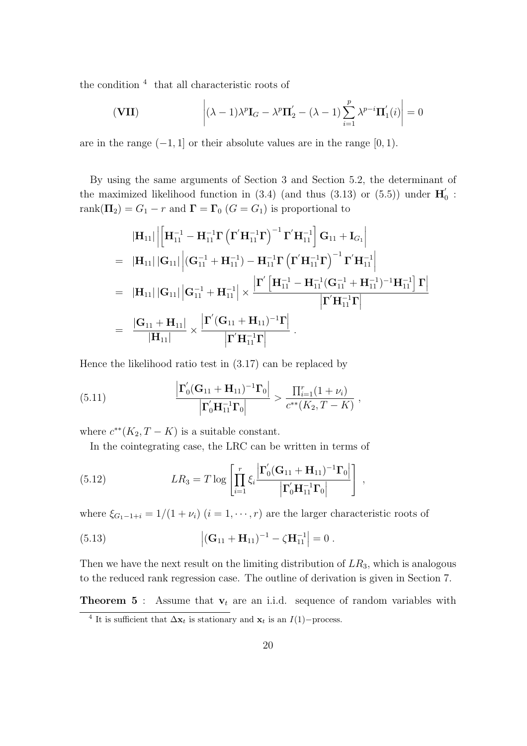the condition <sup>4</sup> that all characteristic roots of

$$
\left(\mathbf{VII}\right) \qquad \qquad \left| (\lambda - 1)\lambda^p \mathbf{I}_G - \lambda^p \mathbf{\Pi}'_2 - (\lambda - 1) \sum_{i=1}^p \lambda^{p-i} \mathbf{\Pi}'_1(i) \right| = 0
$$

are in the range (*−*1*,* 1] or their absolute values are in the range [0*,* 1).

By using the same arguments of Section 3 and Section 5.2, the determinant of the maximized likelihood function in  $(3.4)$  (and thus  $(3.13)$  or  $(5.5)$ ) under  $\mathbf{H}'_0$ : rank $(\mathbf{\Pi}_2) = G_1 - r$  and  $\mathbf{\Gamma} = \mathbf{\Gamma}_0$  ( $G = G_1$ ) is proportional to

$$
\begin{aligned}\n&|\mathbf{H}_{11}|\left|\left[\mathbf{H}_{11}^{-1}-\mathbf{H}_{11}^{-1}\boldsymbol{\Gamma}\left(\boldsymbol{\Gamma}^{'}\mathbf{H}_{11}^{-1}\boldsymbol{\Gamma}\right)^{-1}\boldsymbol{\Gamma}^{'}\mathbf{H}_{11}^{-1}\right]\mathbf{G}_{11}+\mathbf{I}_{G_{1}}\right| \\
&=|\mathbf{H}_{11}||\mathbf{G}_{11}|\left|\left(\mathbf{G}_{11}^{-1}+\mathbf{H}_{11}^{-1}\right)-\mathbf{H}_{11}^{-1}\boldsymbol{\Gamma}\left(\boldsymbol{\Gamma}^{'}\mathbf{H}_{11}^{-1}\boldsymbol{\Gamma}\right)^{-1}\boldsymbol{\Gamma}^{'}\mathbf{H}_{11}^{-1}\right| \\
&=|\mathbf{H}_{11}||\mathbf{G}_{11}|\left|\mathbf{G}_{11}^{-1}+\mathbf{H}_{11}^{-1}\right|\times\frac{\left|\boldsymbol{\Gamma}^{'}\left[\mathbf{H}_{11}^{-1}-\mathbf{H}_{11}^{-1}(\mathbf{G}_{11}^{-1}+\mathbf{H}_{11}^{-1})^{-1}\mathbf{H}_{11}^{-1}\right]\boldsymbol{\Gamma}\right|}{\left|\boldsymbol{\Gamma}^{'}\mathbf{H}_{11}^{-1}\boldsymbol{\Gamma}\right|} \\
&=\frac{|\mathbf{G}_{11}+\mathbf{H}_{11}|}{|\mathbf{H}_{11}|}\times\frac{\left|\boldsymbol{\Gamma}^{'}(\mathbf{G}_{11}+\mathbf{H}_{11})^{-1}\boldsymbol{\Gamma}\right|}{\left|\boldsymbol{\Gamma}^{'}\mathbf{H}_{11}^{-1}\boldsymbol{\Gamma}\right|}\n\end{aligned}
$$

Hence the likelihood ratio test in (3.17) can be replaced by

(5.11) 
$$
\frac{\left|\Gamma_0'(\mathbf{G}_{11} + \mathbf{H}_{11})^{-1}\Gamma_0\right|}{\left|\Gamma_0'\mathbf{H}_{11}^{-1}\Gamma_0\right|} > \frac{\prod_{i=1}^r (1 + \nu_i)}{c^{**}(K_2, T - K)},
$$

where  $c^{**}(K_2, T - K)$  is a suitable constant.

In the cointegrating case, the LRC can be written in terms of

(5.12) 
$$
LR_3 = T \log \left[ \prod_{i=1}^r \xi_i \frac{\left| \Gamma'_0 (\mathbf{G}_{11} + \mathbf{H}_{11})^{-1} \mathbf{\Gamma}_0 \right|}{\left| \Gamma'_0 \mathbf{H}_{11}^{-1} \mathbf{\Gamma}_0 \right|} \right],
$$

where  $\xi_{G_1-1+i} = 1/(1 + \nu_i)$  ( $i = 1, \dots, r$ ) are the larger characteristic roots of

(5.13) 
$$
\left| (\mathbf{G}_{11} + \mathbf{H}_{11})^{-1} - \zeta \mathbf{H}_{11}^{-1} \right| = 0.
$$

Then we have the next result on the limiting distribution of *LR*3*,* which is analogous to the reduced rank regression case. The outline of derivation is given in Section 7.

**Theorem 5** : Assume that  $\mathbf{v}_t$  are an i.i.d. sequence of random variables with

<sup>&</sup>lt;sup>4</sup> It is sufficient that  $\Delta \mathbf{x}_t$  is stationary and  $\mathbf{x}_t$  is an *I*(1)*−*process.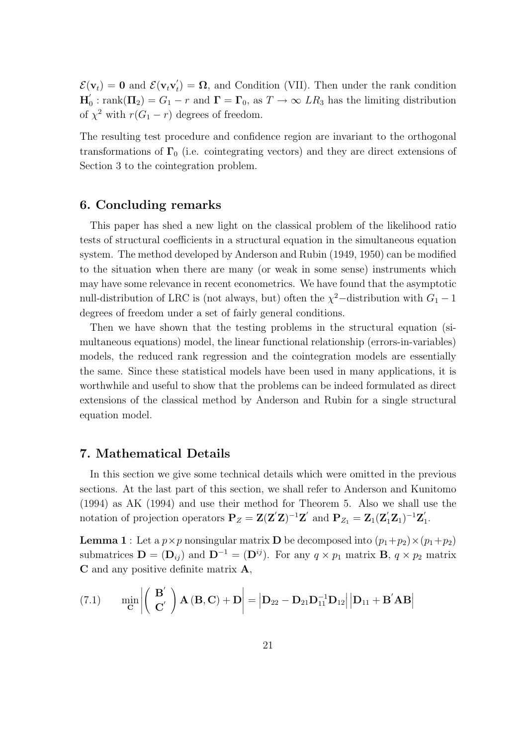$\mathcal{E}(\mathbf{v}_t) = \mathbf{0}$  and  $\mathcal{E}(\mathbf{v}_t \mathbf{v}_t') = \mathbf{\Omega}$ , and Condition (VII). Then under the rank condition  $H'_0$ : rank $(\Pi_2) = G_1 - r$  and  $\Gamma = \Gamma_0$ , as  $T \to \infty$  *LR*<sub>3</sub> has the limiting distribution of  $\chi^2$  with  $r(G_1 - r)$  degrees of freedom.

The resulting test procedure and confidence region are invariant to the orthogonal transformations of  $\Gamma_0$  (i.e. cointegrating vectors) and they are direct extensions of Section 3 to the cointegration problem.

## **6. Concluding remarks**

This paper has shed a new light on the classical problem of the likelihood ratio tests of structural coefficients in a structural equation in the simultaneous equation system. The method developed by Anderson and Rubin (1949, 1950) can be modified to the situation when there are many (or weak in some sense) instruments which may have some relevance in recent econometrics. We have found that the asymptotic null-distribution of LRC is (not always, but) often the  $\chi^2$ -distribution with  $G_1 - 1$ degrees of freedom under a set of fairly general conditions.

Then we have shown that the testing problems in the structural equation (simultaneous equations) model, the linear functional relationship (errors-in-variables) models, the reduced rank regression and the cointegration models are essentially the same. Since these statistical models have been used in many applications, it is worthwhile and useful to show that the problems can be indeed formulated as direct extensions of the classical method by Anderson and Rubin for a single structural equation model.

## **7. Mathematical Details**

In this section we give some technical details which were omitted in the previous sections. At the last part of this section, we shall refer to Anderson and Kunitomo (1994) as AK (1994) and use their method for Theorem 5. Also we shall use the notation of projection operators  $P_Z = Z(Z'Z)^{-1}Z'$  and  $P_{Z_1} = Z_1(Z'_1Z_1)^{-1}Z'_1$ .

**Lemma 1** : Let a  $p \times p$  nonsingular matrix **D** be decomposed into  $(p_1+p_2) \times (p_1+p_2)$ submatrices  $\mathbf{D} = (\mathbf{D}_{ij})$  and  $\mathbf{D}^{-1} = (\mathbf{D}^{ij})$ . For any  $q \times p_1$  matrix  $\mathbf{B}, q \times p_2$  matrix **C** and any positive definite matrix **A***,*

(7.1) 
$$
\min_{\mathbf{C}} \left| \begin{pmatrix} \mathbf{B}' \\ \mathbf{C}' \end{pmatrix} \mathbf{A} \left( \mathbf{B}, \mathbf{C} \right) + \mathbf{D} \right| = \left| \mathbf{D}_{22} - \mathbf{D}_{21} \mathbf{D}_{11}^{-1} \mathbf{D}_{12} \right| \left| \mathbf{D}_{11} + \mathbf{B}' \mathbf{A} \mathbf{B} \right|
$$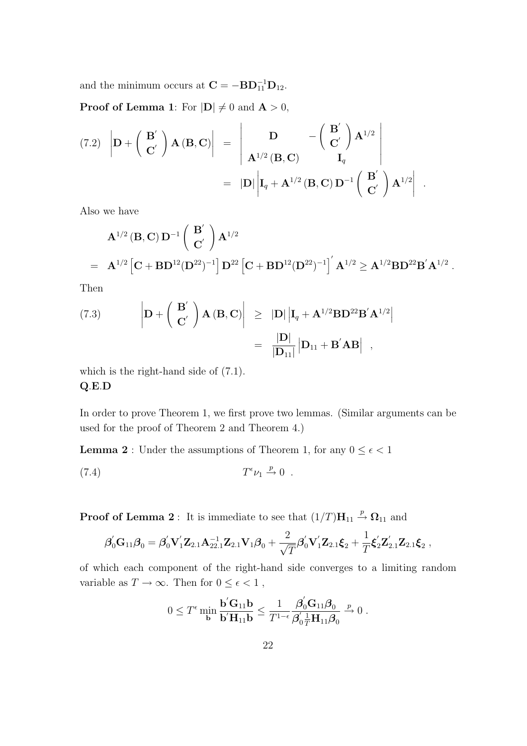and the minimum occurs at  $\mathbf{C} = -\mathbf{B}\mathbf{D}_{11}^{-1}\mathbf{D}_{12}$ .

**Proof of Lemma 1**: For  $|\mathbf{D}| \neq 0$  and  $\mathbf{A} > 0$ ,

(7.2) 
$$
\left|\mathbf{D} + \left(\begin{array}{c}\mathbf{B}' \\ \mathbf{C}'\end{array}\right)\mathbf{A}(\mathbf{B}, \mathbf{C})\right| = \left|\begin{array}{cc}\mathbf{D} & -\left(\begin{array}{c}\mathbf{B}' \\ \mathbf{C}'\end{array}\right)\mathbf{A}^{1/2} \\ \mathbf{A}^{1/2}(\mathbf{B}, \mathbf{C}) & \mathbf{I}_q\end{array}\right|
$$
  
=  $|\mathbf{D}| \left|\mathbf{I}_q + \mathbf{A}^{1/2}(\mathbf{B}, \mathbf{C})\mathbf{D}^{-1}\left(\begin{array}{c}\mathbf{B}' \\ \mathbf{C}'\end{array}\right)\mathbf{A}^{1/2}\right|$ 

Also we have

$$
A^{1/2} (B, C) D^{-1} \begin{pmatrix} B' \\ C' \end{pmatrix} A^{1/2}
$$
  
=  $A^{1/2} [C + BD^{12} (D^{22})^{-1}] D^{22} [C + BD^{12} (D^{22})^{-1}]^{'} A^{1/2} \ge A^{1/2} BD^{22} B' A^{1/2}.$ 

*.*

Then

(7.3) 
$$
\left| \mathbf{D} + \left( \begin{array}{c} \mathbf{B}' \\ \mathbf{C}' \end{array} \right) \mathbf{A} (\mathbf{B}, \mathbf{C}) \right| \geq |\mathbf{D}| \left| \mathbf{I}_q + \mathbf{A}^{1/2} \mathbf{B} \mathbf{D}^{22} \mathbf{B}' \mathbf{A}^{1/2} \right|
$$

$$
= \left| \frac{\mathbf{D}|}{|\mathbf{D}_{11}|} \right| \mathbf{D}_{11} + \mathbf{B}' \mathbf{A} \mathbf{B} \right| ,
$$

which is the right-hand side of  $(7.1)$ . **Q***.***E***.***D**

In order to prove Theorem 1, we first prove two lemmas. (Similar arguments can be used for the proof of Theorem 2 and Theorem 4.)

**Lemma 2** : Under the assumptions of Theorem 1, for any  $0 \leq \epsilon < 1$ 

$$
(7.4) \tT^{\epsilon} \nu_1 \stackrel{p}{\rightarrow} 0.
$$

**Proof of Lemma 2** : It is immediate to see that  $(1/T)H_{11} \stackrel{p}{\rightarrow} \Omega_{11}$  and

$$
\boldsymbol{\beta}_0^{'}\mathbf{G}_{11}\boldsymbol{\beta}_0 = \boldsymbol{\beta}_0^{'}\mathbf{V}_1^{'}\mathbf{Z}_{2.1}\mathbf{A}_{22.1}^{-1}\mathbf{Z}_{2.1}\mathbf{V}_1\boldsymbol{\beta}_0 + \frac{2}{\sqrt{T}}\boldsymbol{\beta}_0^{'}\mathbf{V}_1^{'}\mathbf{Z}_{2.1}\boldsymbol{\xi}_2 + \frac{1}{T}\boldsymbol{\xi}_2^{'}\mathbf{Z}_{2.1}^{'}\mathbf{Z}_{2.1}\boldsymbol{\xi}_2 ,
$$

of which each component of the right-hand side converges to a limiting random variable as  $T\to\infty.$  Then for  $0\leq\epsilon<1$  ,

$$
0 \leq T^{\epsilon} \min_{\mathbf{b}} \frac{\mathbf{b}' \mathbf{G}_{11} \mathbf{b}}{\mathbf{b}' \mathbf{H}_{11} \mathbf{b}} \leq \frac{1}{T^{1-\epsilon}} \frac{\beta_0' \mathbf{G}_{11} \beta_0}{\beta_0' \frac{1}{T} \mathbf{H}_{11} \beta_0} \xrightarrow{p} 0.
$$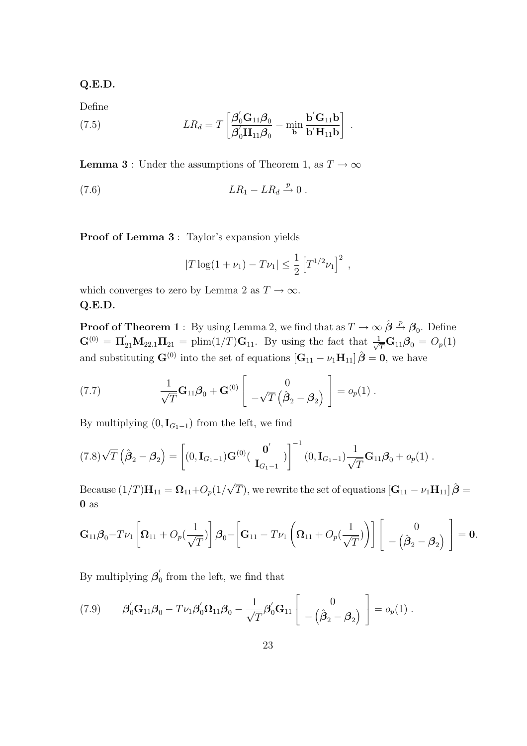**Q.E.D.**

Define

(7.5) 
$$
LR_d = T \left[ \frac{\boldsymbol{\beta}_0' \mathbf{G}_{11} \boldsymbol{\beta}_0}{\boldsymbol{\beta}_0' \mathbf{H}_{11} \boldsymbol{\beta}_0} - \min_{\mathbf{b}} \frac{\mathbf{b}' \mathbf{G}_{11} \mathbf{b}}{\mathbf{b}' \mathbf{H}_{11} \mathbf{b}} \right] .
$$

**Lemma 3** : Under the assumptions of Theorem 1, as  $T \to \infty$ 

$$
(7.6) \t\t\t LR_1 - LR_d \xrightarrow{p} 0.
$$

**Proof of Lemma 3** : Taylor's expansion yields

$$
|T\log(1+\nu_1)-T\nu_1|\leq \frac{1}{2}\left[T^{1/2}\nu_1\right]^2\;,
$$

which converges to zero by Lemma 2 as  $T \to \infty$ . **Q.E.D.**

**Proof of Theorem 1** : By using Lemma 2, we find that as  $T \to \infty$   $\hat{\boldsymbol{\beta}} \stackrel{p}{\to} \boldsymbol{\beta}_0$ . Define  $\mathbf{G}^{(0)} = \mathbf{\Pi}_{21}' \mathbf{M}_{22.1} \mathbf{\Pi}_{21} = \text{plim}(1/T) \mathbf{G}_{11}$ . By using the fact that  $\frac{1}{\sqrt{T}} \mathbf{G}_{11} \boldsymbol{\beta}_0 = O_p(1)$ and substituting  $\mathbf{G}^{(0)}$  into the set of equations  $[\mathbf{G}_{11} - \nu_1 \mathbf{H}_{11}] \hat{\boldsymbol{\beta}} = \mathbf{0}$ , we have

(7.7) 
$$
\frac{1}{\sqrt{T}}\mathbf{G}_{11}\boldsymbol{\beta}_0 + \mathbf{G}^{(0)}\begin{bmatrix} 0 \\ -\sqrt{T}\left(\hat{\boldsymbol{\beta}}_2 - \boldsymbol{\beta}_2\right) \end{bmatrix} = o_p(1) .
$$

By multiplying  $(0, I_{G_1-1})$  from the left, we find

$$
(7.8)\sqrt{T}\left(\hat{\boldsymbol{\beta}}_2-\boldsymbol{\beta}_2\right)=\left[(0,\mathbf{I}_{G_1-1})\mathbf{G}^{(0)}\left(\begin{array}{c} \mathbf{0}^{\prime} \\ \mathbf{I}_{G_1-1} \end{array}\right)\right]^{-1}(0,\mathbf{I}_{G_1-1})\frac{1}{\sqrt{T}}\mathbf{G}_{11}\boldsymbol{\beta}_0+o_p(1).
$$

Because  $(1/T)\mathbf{H}_{11} = \mathbf{\Omega}_{11} + O_p(1)$  $\sqrt{T}$ ), we rewrite the set of equations  $\left[\mathbf{G}_{11} - \nu_1 \mathbf{H}_{11}\right] \hat{\boldsymbol{\beta}} =$ **0** as

$$
\mathbf{G}_{11}\boldsymbol{\beta}_0 - T\nu_1 \left[\boldsymbol{\Omega}_{11} + O_p\left(\frac{1}{\sqrt{T}}\right)\right]\boldsymbol{\beta}_0 - \left[\mathbf{G}_{11} - T\nu_1\left(\boldsymbol{\Omega}_{11} + O_p\left(\frac{1}{\sqrt{T}}\right)\right)\right] \left[\begin{array}{c} 0 \\ -\left(\hat{\boldsymbol{\beta}}_2 - \boldsymbol{\beta}_2\right) \end{array}\right] = \mathbf{0}.
$$

By multiplying  $\beta'_{0}$  from the left, we find that

(7.9) 
$$
\beta'_0 G_{11} \beta_0 - T \nu_1 \beta'_0 \Omega_{11} \beta_0 - \frac{1}{\sqrt{T}} \beta'_0 G_{11} \begin{bmatrix} 0 \\ -(\hat{\beta}_2 - \beta_2) \end{bmatrix} = o_p(1) .
$$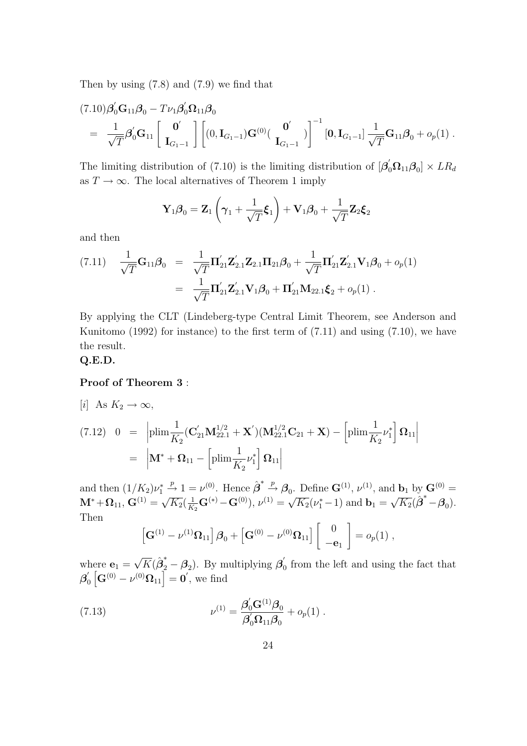Then by using (7.8) and (7.9) we find that

$$
(7.10)\beta'_{0}G_{11}\beta_{0} - T\nu_{1}\beta'_{0}\Omega_{11}\beta_{0}
$$
\n
$$
= \frac{1}{\sqrt{T}}\beta'_{0}G_{11}\left[\begin{array}{c} \mathbf{0}' \\ \mathbf{I}_{G_{1}-1} \end{array}\right] \left[(0,\mathbf{I}_{G_{1}-1})\mathbf{G}^{(0)}\left(\begin{array}{c} \mathbf{0}' \\ \mathbf{I}_{G_{1}-1} \end{array}\right)\right]^{-1}\left[\mathbf{0},\mathbf{I}_{G_{1}-1}\right] \frac{1}{\sqrt{T}}\mathbf{G}_{11}\beta_{0} + o_{p}(1) .
$$

The limiting distribution of (7.10) is the limiting distribution of  $[\beta'_0 \Omega_{11} \beta_0] \times LR_d$ as  $T \to \infty$ . The local alternatives of Theorem 1 imply

$$
\mathbf{Y}_1 \boldsymbol{\beta}_0 = \mathbf{Z}_1 \left( \boldsymbol{\gamma}_1 + \frac{1}{\sqrt{T}} \boldsymbol{\xi}_1 \right) + \mathbf{V}_1 \boldsymbol{\beta}_0 + \frac{1}{\sqrt{T}} \mathbf{Z}_2 \boldsymbol{\xi}_2
$$

and then

(7.11) 
$$
\frac{1}{\sqrt{T}} \mathbf{G}_{11} \boldsymbol{\beta}_0 = \frac{1}{\sqrt{T}} \mathbf{\Pi}_{21}' \mathbf{Z}_{2.1}' \mathbf{Z}_{2.1} \mathbf{\Pi}_{21} \boldsymbol{\beta}_0 + \frac{1}{\sqrt{T}} \mathbf{\Pi}_{21}' \mathbf{Z}_{2.1}' \mathbf{V}_1 \boldsymbol{\beta}_0 + o_p(1)
$$

$$
= \frac{1}{\sqrt{T}} \mathbf{\Pi}_{21}' \mathbf{Z}_{2.1}' \mathbf{V}_1 \boldsymbol{\beta}_0 + \mathbf{\Pi}_{21}' \mathbf{M}_{22.1} \boldsymbol{\xi}_2 + o_p(1) .
$$

By applying the CLT (Lindeberg-type Central Limit Theorem, see Anderson and Kunitomo (1992) for instance) to the first term of (7.11) and using (7.10), we have the result.

#### **Q.E.D.**

#### **Proof of Theorem 3** :

 $[i]$  As  $K_2 \rightarrow \infty$ ,

(7.12) 
$$
0 = \left| \text{plim} \frac{1}{K_2} (\mathbf{C}_{21}' \mathbf{M}_{22.1}^{1/2} + \mathbf{X}') (\mathbf{M}_{22.1}^{1/2} \mathbf{C}_{21} + \mathbf{X}) - \left[ \text{plim} \frac{1}{K_2} \nu_1^* \right] \mathbf{\Omega}_{11} \right|
$$
  
= 
$$
\left| \mathbf{M}^* + \mathbf{\Omega}_{11} - \left[ \text{plim} \frac{1}{K_2} \nu_1^* \right] \mathbf{\Omega}_{11} \right|
$$

and then  $(1/K_2)\nu_1^* \stackrel{p}{\to} 1 = \nu^{(0)}$ . Hence  $\hat{\boldsymbol{\beta}}^* \stackrel{p}{\to} \boldsymbol{\beta}_0$ . Define  $\mathbf{G}^{(1)}, \nu^{(1)}$ , and  $\mathbf{b}_1$  by  $\mathbf{G}^{(0)} =$  $M^* + \Omega_{11}, G^{(1)} = \sqrt{}$  $K_1 = \nu$   $\therefore$  Hence  $\mu$   $\mu$ <sub>0</sub>.<br> $K_2(\frac{1}{K_2}$ **G**<sup>(\*)</sup> - **G**<sup>(0)</sup>)*,*  $\nu$ <sup>(1)</sup> =  $\sqrt{\frac{1}{K_2}}$  $\overline{K_2}(\nu_1^*-1)$  and **b**<sub>1</sub> =  $\sqrt{K_2}(\hat{\boldsymbol{\beta}}^* - \boldsymbol{\beta}_0).$ Then

$$
\left[\mathbf{G}^{(1)}-\nu^{(1)}\mathbf{\Omega}_{11}\right]\boldsymbol{\beta}_0+\left[\mathbf{G}^{(0)}-\nu^{(0)}\mathbf{\Omega}_{11}\right]\left[\begin{array}{c}0\\-\mathbf{e}_1\end{array}\right]=o_p(1)\;,
$$

where  $\mathbf{e}_1 =$  $\sqrt{K}(\hat{\boldsymbol{\beta}}_2^* - \boldsymbol{\beta}_2)$ . By multiplying  $\boldsymbol{\beta}_0'$  from the left and using the fact that  $\boldsymbol{\beta}_0' \left[ \mathbf{G}^{(0)} - \nu^{(0)} \boldsymbol{\Omega}_{11} \right] = \mathbf{0}'$ , we find

(7.13) 
$$
\nu^{(1)} = \frac{\beta'_0 G^{(1)} \beta_0}{\beta'_0 \Omega_{11} \beta_0} + o_p(1) .
$$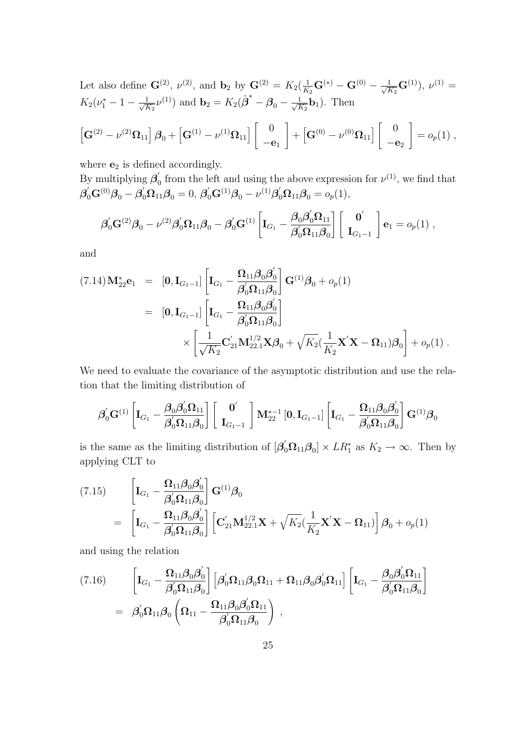Let also define  $\mathbf{G}^{(2)}$ ,  $\nu^{(2)}$ , and  $\mathbf{b}_2$  by  $\mathbf{G}^{(2)} = K_2(\frac{1}{K_2}\mathbf{G}^{(*)} - \mathbf{G}^{(0)} - \frac{1}{\sqrt{F}})$  $\frac{1}{K_2}$ **G**<sup>(1)</sup>),  $\nu$ <sup>(1)</sup> =  $K_2(\nu_1^* - 1 - \frac{1}{\sqrt{F}})$  $\frac{1}{K_2} \nu^{(1)}$ ) and  $\mathbf{b}_2 = K_2(\hat{\boldsymbol{\beta}}^* - \boldsymbol{\beta}_0 - \frac{1}{\sqrt{N}})$  $\frac{1}{K_2}$ **b**<sub>1</sub>). Then  $\lceil$ ]

$$
\left[\mathbf{G}^{(2)}-\nu^{(2)}\mathbf{\Omega}_{11}\right]\boldsymbol{\beta}_{0}+\left[\mathbf{G}^{(1)}-\nu^{(1)}\mathbf{\Omega}_{11}\right]\left[\begin{array}{c}0\\-\mathbf{e}_{1}\end{array}\right]+\left[\mathbf{G}^{(0)}-\nu^{(0)}\mathbf{\Omega}_{11}\right]\left[\begin{array}{c}0\\-\mathbf{e}_{2}\end{array}\right]=o_{p}(1),
$$

where  $e_2$  is defined accordingly.

By multiplying  $\beta'_0$  from the left and using the above expression for  $\nu^{(1)}$ , we find that  ${\boldsymbol{\beta}}'_0 {\mathbf{G}}^{(0)} {\boldsymbol{\beta}}_0 - {\boldsymbol{\beta}}'_0 {\boldsymbol{\Omega}}_{11} {\boldsymbol{\beta}}_0 = 0,\, {\boldsymbol{\beta}}'_0 {\mathbf{G}}^{(1)} {\boldsymbol{\beta}}_0 - \nu^{(1)} {\boldsymbol{\beta}}'_0 {\boldsymbol{\Omega}}_{11} {\boldsymbol{\beta}}_0 = o_p(1),$ 

$$
\boldsymbol{\beta}_0' \mathbf{G}^{(2)} \boldsymbol{\beta}_0 - \nu^{(2)} \boldsymbol{\beta}_0' \boldsymbol{\Omega}_{11} \boldsymbol{\beta}_0 - \boldsymbol{\beta}_0' \mathbf{G}^{(1)} \left[\mathbf{I}_{G_1} - \frac{\boldsymbol{\beta}_0 \boldsymbol{\beta}_0' \boldsymbol{\Omega}_{11}}{\boldsymbol{\beta}_0' \boldsymbol{\Omega}_{11} \boldsymbol{\beta}_0}\right] \left[\begin{array}{c} \mathbf{0}' \\ \mathbf{I}_{G_1-1} \end{array}\right] \mathbf{e}_1 = o_p(1) ,
$$

and

$$
(7.14)\mathbf{M}_{22}^{*}\mathbf{e}_{1} = [\mathbf{0}, \mathbf{I}_{G_{1}-1}]\left[\mathbf{I}_{G_{1}} - \frac{\mathbf{\Omega}_{11}\boldsymbol{\beta}_{0}\boldsymbol{\beta}_{0}'}{\boldsymbol{\beta}_{0}\mathbf{\Omega}_{11}\boldsymbol{\beta}_{0}}\right] \mathbf{G}^{(1)}\boldsymbol{\beta}_{0} + o_{p}(1)
$$
  
\n
$$
= [\mathbf{0}, \mathbf{I}_{G_{1}-1}]\left[\mathbf{I}_{G_{1}} - \frac{\mathbf{\Omega}_{11}\boldsymbol{\beta}_{0}\boldsymbol{\beta}_{0}'}{\boldsymbol{\beta}_{0}'\mathbf{\Omega}_{11}\boldsymbol{\beta}_{0}}\right]
$$
  
\n
$$
\times \left[\frac{1}{\sqrt{K_{2}}}\mathbf{C}_{21}'\mathbf{M}_{22.1}^{1/2}\mathbf{X}\boldsymbol{\beta}_{0} + \sqrt{K_{2}}(\frac{1}{K_{2}}\mathbf{X}'\mathbf{X} - \mathbf{\Omega}_{11})\boldsymbol{\beta}_{0}\right] + o_{p}(1).
$$

We need to evaluate the covariance of the asymptotic distribution and use the relation that the limiting distribution of

$$
\boldsymbol{\beta}_0^{'}\mathbf{G}^{(1)}\left[\mathbf{I}_{G_1}-\frac{\boldsymbol{\beta}_0\boldsymbol{\beta}_0^{'}\mathbf{\Omega}_{11}}{\boldsymbol{\beta}_0^{'}\mathbf{\Omega}_{11}\boldsymbol{\beta}_0}\right]\left[\begin{array}{c} \mathbf{0}^{'}\\ \mathbf{I}_{G_1-1}\end{array}\right]\mathbf{M}_{22}^{*-1}\left[\mathbf{0},\mathbf{I}_{G_1-1}\right]\left[\mathbf{I}_{G_1}-\frac{\mathbf{\Omega}_{11}\boldsymbol{\beta}_0\boldsymbol{\beta}_0^{'}}{\boldsymbol{\beta}_0^{'}\mathbf{\Omega}_{11}\boldsymbol{\beta}_0}\right]\mathbf{G}^{(1)}\boldsymbol{\beta}_0
$$

is the same as the limiting distribution of  $[\beta'_0 \Omega_{11} \beta_0] \times LR_1^*$  as  $K_2 \to \infty$ . Then by applying CLT to

$$
(7.15) \qquad \begin{aligned} & \left[\mathbf{I}_{G_1} - \frac{\mathbf{\Omega}_{11}\boldsymbol{\beta}_0\boldsymbol{\beta}_0'}{\boldsymbol{\beta}_0'\mathbf{\Omega}_{11}\boldsymbol{\beta}_0}\right] \mathbf{G}^{(1)}\boldsymbol{\beta}_0 \\ & = \left[\mathbf{I}_{G_1} - \frac{\mathbf{\Omega}_{11}\boldsymbol{\beta}_0\boldsymbol{\beta}_0'}{\boldsymbol{\beta}_0'\mathbf{\Omega}_{11}\boldsymbol{\beta}_0}\right] \left[\mathbf{C}_{21}'\mathbf{M}_{22.1}^{1/2}\mathbf{X} + \sqrt{K_2}(\frac{1}{K_2}\mathbf{X}'\mathbf{X} - \mathbf{\Omega}_{11})\right]\boldsymbol{\beta}_0 + o_p(1) \end{aligned}
$$

and using the relation

$$
(7.16) \qquad \begin{aligned} \left[\mathbf{I}_{G_1} - \frac{\mathbf{\Omega}_{11}\boldsymbol{\beta}_0\boldsymbol{\beta}_0'}{\boldsymbol{\beta}_0'\mathbf{\Omega}_{11}\boldsymbol{\beta}_0}\right] \left[\boldsymbol{\beta}_0'\mathbf{\Omega}_{11}\boldsymbol{\beta}_0\mathbf{\Omega}_{11} + \mathbf{\Omega}_{11}\boldsymbol{\beta}_0\boldsymbol{\beta}_0'\mathbf{\Omega}_{11}\right] \left[\mathbf{I}_{G_1} - \frac{\boldsymbol{\beta}_0\boldsymbol{\beta}_0'\mathbf{\Omega}_{11}}{\boldsymbol{\beta}_0'\mathbf{\Omega}_{11}\boldsymbol{\beta}_0}\right] \\ = \ \ \boldsymbol{\beta}_0'\mathbf{\Omega}_{11}\boldsymbol{\beta}_0\left(\mathbf{\Omega}_{11} - \frac{\mathbf{\Omega}_{11}\boldsymbol{\beta}_0\boldsymbol{\beta}_0'\mathbf{\Omega}_{11}}{\boldsymbol{\beta}_0'\mathbf{\Omega}_{11}\boldsymbol{\beta}_0}\right) \ , \end{aligned}
$$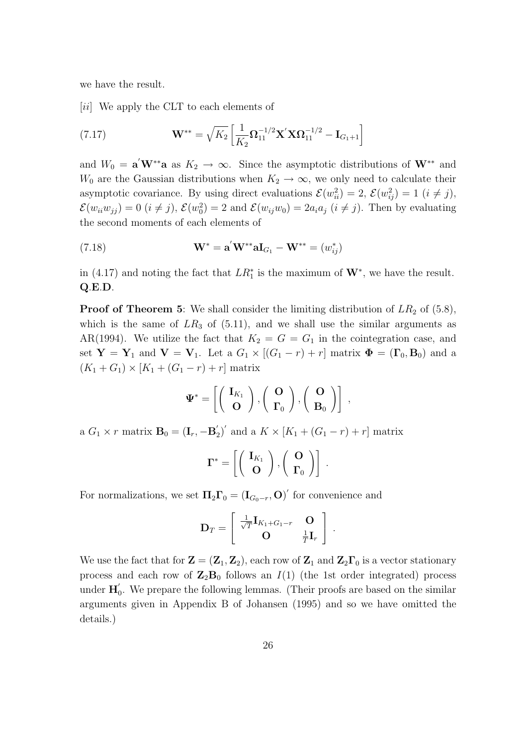we have the result.

[*ii*] We apply the CLT to each elements of

(7.17) 
$$
\mathbf{W}^{**} = \sqrt{K_2} \left[ \frac{1}{K_2} \mathbf{\Omega}_{11}^{-1/2} \mathbf{X}' \mathbf{X} \mathbf{\Omega}_{11}^{-1/2} - \mathbf{I}_{G_1+1} \right]
$$

and  $W_0 = \mathbf{a}' \mathbf{W}^{**} \mathbf{a}$  as  $K_2 \to \infty$ . Since the asymptotic distributions of  $\mathbf{W}^{**}$  and *W*<sub>0</sub> are the Gaussian distributions when  $K_2 \rightarrow \infty$ , we only need to calculate their asymptotic covariance. By using direct evaluations  $\mathcal{E}(w_{ii}^2) = 2$ ,  $\mathcal{E}(w_{ij}^2) = 1$  ( $i \neq j$ ),  $\mathcal{E}(w_{ii}w_{jj}) = 0$   $(i \neq j)$ ,  $\mathcal{E}(w_0^2) = 2$  and  $\mathcal{E}(w_{ij}w_0) = 2a_ia_j$   $(i \neq j)$ . Then by evaluating the second moments of each elements of

(7.18) 
$$
\mathbf{W}^* = \mathbf{a}' \mathbf{W}^{**} \mathbf{a} \mathbf{I}_{G_1} - \mathbf{W}^{**} = (w_{ij}^*)
$$

in (4.17) and noting the fact that  $LR_1^*$  is the maximum of  $\mathbf{W}^*$ , we have the result. **Q***.***E***.***D***.*

**Proof of Theorem 5:** We shall consider the limiting distribution of  $LR_2$  of (5.8), which is the same of  $LR_3$  of  $(5.11)$ , and we shall use the similar arguments as AR(1994). We utilize the fact that  $K_2 = G = G_1$  in the cointegration case, and set  $Y = Y_1$  and  $V = V_1$ . Let a  $G_1 \times [(G_1 - r) + r]$  matrix  $\Phi = (\Gamma_0, \mathbf{B}_0)$  and a  $(K_1 + G_1) \times [K_1 + (G_1 - r) + r]$  matrix

$$
\Psi^* = \left[ \left( \begin{array}{c} \mathbf{I}_{K_1} \\ \mathbf{O} \end{array} \right), \left( \begin{array}{c} \mathbf{O} \\ \mathbf{\Gamma}_0 \end{array} \right), \left( \begin{array}{c} \mathbf{O} \\ \mathbf{B}_0 \end{array} \right) \right] ,
$$

 $\mathbf{B}_0 = (\mathbf{I}_r, -\mathbf{B}'_2)'$  and a  $K \times [K_1 + (G_1 - r) + r]$  matrix

$$
\Gamma^* = \left[ \left( \begin{array}{c} \mathbf{I}_{K_1} \\ \mathbf{O} \end{array} \right), \left( \begin{array}{c} \mathbf{O} \\ \Gamma_0 \end{array} \right) \right] .
$$

For normalizations, we set  $\Pi_2 \Gamma_0 = (\mathbf{I}_{G_0-r}, \mathbf{O})'$  for convenience and

$$
\mathbf{D}_T = \left[ \begin{array}{cc} \frac{1}{\sqrt{T}} \mathbf{I}_{K_1 + G_1 - r} & \mathbf{O} \\ \mathbf{O} & \frac{1}{T} \mathbf{I}_r \end{array} \right] .
$$

We use the fact that for  $\mathbf{Z} = (\mathbf{Z}_1, \mathbf{Z}_2)$ , each row of  $\mathbf{Z}_1$  and  $\mathbf{Z}_2 \mathbf{\Gamma}_0$  is a vector stationary process and each row of  $\mathbb{Z}_2\mathbb{B}_0$  follows an  $I(1)$  (the 1st order integrated) process under  $\mathbf{H}'_0$ . We prepare the following lemmas. (Their proofs are based on the similar arguments given in Appendix B of Johansen (1995) and so we have omitted the details.)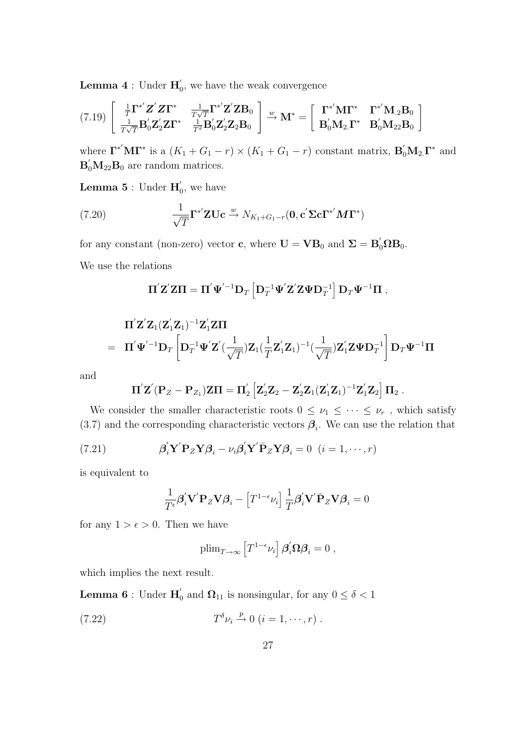**Lemma 4** : Under  $\mathbf{H}'_0$ , we have the weak convergence

$$
(7.19)\begin{bmatrix} \frac{1}{T}\mathbf{\Gamma}^{*'}\mathbf{Z}'\mathbf{Z}\mathbf{\Gamma}^{*} & \frac{1}{T\sqrt{T}}\mathbf{\Gamma}^{*'}\mathbf{Z}'\mathbf{Z}\mathbf{B}_{0} \\ \frac{1}{T\sqrt{T}}\mathbf{B}_{0}'\mathbf{Z}_{2}'\mathbf{Z}\mathbf{\Gamma}^{*} & \frac{1}{T^{2}}\mathbf{B}_{0}'\mathbf{Z}_{2}'\mathbf{Z}_{2}\mathbf{B}_{0} \end{bmatrix} \xrightarrow{w} \mathbf{M}^{*} = \begin{bmatrix} \mathbf{\Gamma}^{*'}\mathbf{M}\mathbf{\Gamma}^{*} & \mathbf{\Gamma}^{*'}\mathbf{M}_{.2}\mathbf{B}_{0} \\ \mathbf{B}_{0}'\mathbf{M}_{2}\mathbf{\Gamma}^{*} & \mathbf{B}_{0}'\mathbf{M}_{22}\mathbf{B}_{0} \end{bmatrix}
$$

where  $\Gamma^{*'}\mathbf{M}\Gamma^{*}$  is a  $(K_1 + G_1 - r) \times (K_1 + G_1 - r)$  constant matrix,  $\mathbf{B}'_0\mathbf{M}_2\Gamma^{*}$  and  $\mathbf{B}'_0 \mathbf{M}_{22} \mathbf{B}_0$  are random matrices.

**Lemma 5** : Under  $\mathbf{H}'_0$ , we have

(7.20) 
$$
\frac{1}{\sqrt{T}} \mathbf{\Gamma}^{*'} \mathbf{Z} \mathbf{U} \mathbf{c} \stackrel{w}{\rightarrow} N_{K_1 + G_1 - r}(\mathbf{0}, \mathbf{c}' \mathbf{\Sigma} \mathbf{c} \mathbf{\Gamma}^{*'} \mathbf{M} \mathbf{\Gamma}^{*})
$$

for any constant (non-zero) vector **c**, where  $\mathbf{U} = \mathbf{V} \mathbf{B}_0$  and  $\mathbf{\Sigma} = \mathbf{B}_0' \Omega \mathbf{B}_0$ .

We use the relations

$$
\boldsymbol{\Pi}' \mathbf{Z}' \mathbf{Z} \boldsymbol{\Pi} = \boldsymbol{\Pi}' \boldsymbol{\Psi}'^{-1} \mathbf{D}_T \left[ \mathbf{D}_T^{-1} \boldsymbol{\Psi}' \mathbf{Z}' \mathbf{Z} \boldsymbol{\Psi} \mathbf{D}_T^{-1} \right] \mathbf{D}_T \boldsymbol{\Psi}^{-1} \boldsymbol{\Pi} ,
$$

$$
\Pi'\mathbf{Z}'\mathbf{Z}_1(\mathbf{Z}_1'\mathbf{Z}_1)^{-1}\mathbf{Z}_1'\mathbf{Z}\Pi
$$
\n
$$
= \Pi'\mathbf{\Psi}'^{-1}\mathbf{D}_T\left[\mathbf{D}_T^{-1}\mathbf{\Psi}'\mathbf{Z}'(\frac{1}{\sqrt{T}})\mathbf{Z}_1(\frac{1}{T}\mathbf{Z}_1'\mathbf{Z}_1)^{-1}(\frac{1}{\sqrt{T}})\mathbf{Z}_1'\mathbf{Z}\mathbf{\Psi}\mathbf{D}_T^{-1}\right]\mathbf{D}_T\mathbf{\Psi}^{-1}\Pi
$$

and

$$
\Pi^{'} Z^{'} (P_{Z}-P_{Z_{1}}) Z \Pi = \Pi^{'}_{2} \left[Z^{'}_{2} Z_{2} - Z^{'}_{2} Z_{1} (Z^{'}_{1} Z_{1})^{-1} Z^{'}_{1} Z_{2} \right] \Pi_{2} \; .
$$

We consider the smaller characteristic roots  $0 \leq \nu_1 \leq \cdots \leq \nu_r$ , which satisfy  $(3.7)$  and the corresponding characteristic vectors  $\beta_i$ . We can use the relation that

(7.21) 
$$
\beta_i' \mathbf{Y}' \mathbf{P}_Z \mathbf{Y} \beta_i - \nu_i \beta_i' \mathbf{Y}' \bar{\mathbf{P}}_Z \mathbf{Y} \beta_i = 0 \quad (i = 1, \cdots, r)
$$

is equivalent to

$$
\frac{1}{T^{\epsilon}}\pmb{\beta}_{i}^{'}\mathbf{V}^{'}\mathbf{P}_{Z}\mathbf{V}\pmb{\beta}_{i}-\left[T^{1-\epsilon}\nu_{i}\right]\frac{1}{T}\pmb{\beta}_{i}^{'}\mathbf{V}^{'}\bar{\mathbf{P}}_{Z}\mathbf{V}\pmb{\beta}_{i}=0
$$

for any  $1 > \epsilon > 0$ . Then we have

$$
\text{plim}_{T\to\infty}\left[T^{1-\epsilon}\nu_i\right]\pmb{\beta}_i^{'}\pmb{\Omega}\pmb{\beta}_i=0\;,
$$

which implies the next result.

**Lemma 6** : Under  $\mathbf{H}'_0$  and  $\mathbf{\Omega}_{11}$  is nonsingular, for any  $0 \le \delta < 1$ 

(7.22) 
$$
T^{\delta} \nu_i \xrightarrow{p} 0 \ (i = 1, \cdots, r) \ .
$$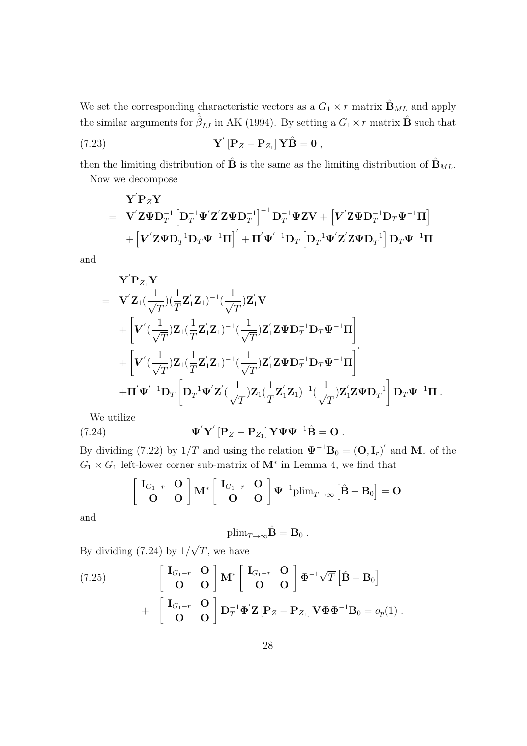We set the corresponding characteristic vectors as a  $G_1 \times r$  matrix  $\hat{\mathbf{B}}_{ML}$  and apply the similar arguments for  $\hat{\hat{\beta}}_{LI}$  in AK (1994). By setting a  $G_1 \times r$  matrix  $\hat{\mathbf{B}}$  such that

(7.23) 
$$
\mathbf{Y}'\left[\mathbf{P}_Z-\mathbf{P}_{Z_1}\right]\mathbf{Y}\hat{\mathbf{B}}=\mathbf{0},
$$

then the limiting distribution of  $\hat{\mathbf{B}}$  is the same as the limiting distribution of  $\hat{\mathbf{B}}_{ML}$ . Now we decompose

$$
\begin{aligned} \mathbf{Y}^{'}\mathbf{P}_Z\mathbf{Y} \\ = & \quad \mathbf{V}^{'}\mathbf{Z}\boldsymbol{\Psi}\mathbf{D}_T^{-1}\left[\mathbf{D}_T^{-1}\boldsymbol{\Psi}^{'}\mathbf{Z}^{'}\mathbf{Z}\boldsymbol{\Psi}\mathbf{D}_T^{-1}\right]^{-1}\mathbf{D}_T^{-1}\boldsymbol{\Psi}\mathbf{Z}\mathbf{V} + \left[\mathbf{V}^{'}\mathbf{Z}\boldsymbol{\Psi}\mathbf{D}_T^{-1}\mathbf{D}_T\boldsymbol{\Psi}^{-1}\mathbf{\Pi}\right] \\ & + \left[\mathbf{V}^{'}\mathbf{Z}\boldsymbol{\Psi}\mathbf{D}_T^{-1}\mathbf{D}_T\boldsymbol{\Psi}^{-1}\mathbf{\Pi}\right]^{'} + \mathbf{\Pi}^{'}\boldsymbol{\Psi}^{'-1}\mathbf{D}_T\left[\mathbf{D}_T^{-1}\boldsymbol{\Psi}^{'}\mathbf{Z}^{'}\mathbf{Z}\boldsymbol{\Psi}\mathbf{D}_T^{-1}\right]\mathbf{D}_T\boldsymbol{\Psi}^{-1}\mathbf{\Pi} \end{aligned}
$$

and

$$
\begin{aligned} &\mathbf{Y}^{'}\mathbf{P}_{Z_{1}}\mathbf{Y}\\ &=& \quad \mathbf{V}^{'}\mathbf{Z}_{1}(\frac{1}{\sqrt{T}})(\frac{1}{T}\mathbf{Z}_{1}^{'}\mathbf{Z}_{1})^{-1}(\frac{1}{\sqrt{T}})\mathbf{Z}_{1}^{'}\mathbf{V}\\ &+\left[\mathbf{V}^{'}(\frac{1}{\sqrt{T}})\mathbf{Z}_{1}(\frac{1}{T}\mathbf{Z}_{1}^{'}\mathbf{Z}_{1})^{-1}(\frac{1}{\sqrt{T}})\mathbf{Z}_{1}^{'}\mathbf{Z}\boldsymbol{\Psi}\mathbf{D}_{T}^{-1}\mathbf{D}_{T}\boldsymbol{\Psi}^{-1}\boldsymbol{\Pi}\right]\\ &+\left[\mathbf{V}^{'}(\frac{1}{\sqrt{T}})\mathbf{Z}_{1}(\frac{1}{T}\mathbf{Z}_{1}^{'}\mathbf{Z}_{1})^{-1}(\frac{1}{\sqrt{T}})\mathbf{Z}_{1}^{'}\mathbf{Z}\boldsymbol{\Psi}\mathbf{D}_{T}^{-1}\mathbf{D}_{T}\boldsymbol{\Psi}^{-1}\boldsymbol{\Pi}\right]^{'}\\ &+\boldsymbol{\Pi}^{'}\boldsymbol{\Psi}^{'-1}\mathbf{D}_{T}\left[\mathbf{D}_{T}^{-1}\boldsymbol{\Psi}^{'}\mathbf{Z}^{'}(\frac{1}{\sqrt{T}})\mathbf{Z}_{1}(\frac{1}{T}\mathbf{Z}_{1}^{'}\mathbf{Z}_{1})^{-1}(\frac{1}{\sqrt{T}})\mathbf{Z}_{1}^{'}\mathbf{Z}\boldsymbol{\Psi}\mathbf{D}_{T}^{-1}\right]\mathbf{D}_{T}\boldsymbol{\Psi}^{-1}\boldsymbol{\Pi}\ . \end{aligned}
$$

We utilize

(7.24) 
$$
\mathbf{\Psi}' \mathbf{Y}' [\mathbf{P}_Z - \mathbf{P}_{Z_1}] \mathbf{Y} \mathbf{\Psi} \mathbf{\Psi}^{-1} \hat{\mathbf{B}} = \mathbf{O}.
$$

By dividing (7.22) by  $1/T$  and using the relation  $\Psi^{-1}B_0 = (O, I_r)'$  and  $M_*$  of the  $G_1 \times G_1$  left-lower corner sub-matrix of  $M^*$  in Lemma 4, we find that

$$
\begin{bmatrix} \mathbf{I}_{G_1-r} & \mathbf{O} \\ \mathbf{O} & \mathbf{O} \end{bmatrix} \mathbf{M}^* \begin{bmatrix} \mathbf{I}_{G_1-r} & \mathbf{O} \\ \mathbf{O} & \mathbf{O} \end{bmatrix} \boldsymbol{\Psi}^{-1} \text{plim}_{T\to\infty} \begin{bmatrix} \hat{\mathbf{B}} - \mathbf{B}_0 \end{bmatrix} = \mathbf{O}
$$

and

$$
\mathrm{plim}_{T\to\infty}\hat{\mathbf{B}}=\mathbf{B}_0.
$$

By dividing (7.24) by 1*/ √ T ,* we have

(7.25) 
$$
\begin{bmatrix} \mathbf{I}_{G_1-r} & \mathbf{O} \\ \mathbf{O} & \mathbf{O} \end{bmatrix} \mathbf{M}^* \begin{bmatrix} \mathbf{I}_{G_1-r} & \mathbf{O} \\ \mathbf{O} & \mathbf{O} \end{bmatrix} \boldsymbol{\Phi}^{-1} \sqrt{T} \begin{bmatrix} \hat{\mathbf{B}} - \mathbf{B}_0 \end{bmatrix} + \begin{bmatrix} \mathbf{I}_{G_1-r} & \mathbf{O} \\ \mathbf{O} & \mathbf{O} \end{bmatrix} \mathbf{D}_T^{-1} \boldsymbol{\Phi}' \mathbf{Z} \begin{bmatrix} \mathbf{P}_Z - \mathbf{P}_{Z_1} \end{bmatrix} \mathbf{V} \boldsymbol{\Phi} \boldsymbol{\Phi}^{-1} \mathbf{B}_0 = o_p(1) .
$$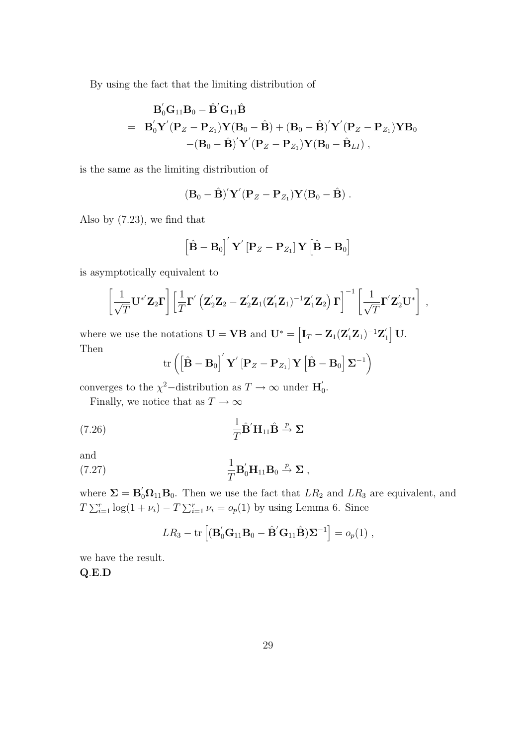By using the fact that the limiting distribution of

$$
\begin{array}{lll} &&{\bf B}_0'{\bf G}_{11}{\bf B}_0-\hat{\bf B}'{\bf G}_{11}\hat{\bf B}\\[2mm] &=& {\bf B}_0'{\bf Y}'({\bf P}_Z-{\bf P}_{Z_1}){\bf Y}({\bf B}_0-\hat{\bf B})+({\bf B}_0-\hat{\bf B})'\bf Y'({\bf P}_Z-{\bf P}_{Z_1}){\bf Y}{\bf B}_0\\[2mm] &&-({\bf B}_0-\hat{\bf B})'\bf Y'({\bf P}_Z-{\bf P}_{Z_1}){\bf Y}({\bf B}_0-\hat{\bf B}_{LI})\;, \end{array}
$$

is the same as the limiting distribution of

$$
(\mathbf{B}_0-\hat{\mathbf{B}})'\mathbf{Y}'(\mathbf{P}_Z-\mathbf{P}_{Z_1})\mathbf{Y}(\mathbf{B}_0-\hat{\mathbf{B}}).
$$

Also by (7.23), we find that

$$
\left[\hat{\mathbf{B}} - \mathbf{B}_0\right]'\mathbf{Y}'\left[\mathbf{P}_Z - \mathbf{P}_{Z_1}\right]\mathbf{Y}\left[\hat{\mathbf{B}} - \mathbf{B}_0\right]
$$

is asymptotically equivalent to

$$
\left[\frac{1}{\sqrt{T}}\mathbf{U}^{*'}\mathbf{Z}_{2}\boldsymbol{\Gamma}\right]\left[\frac{1}{T}\boldsymbol{\Gamma}'\left(\mathbf{Z}_{2}'\mathbf{Z}_{2}-\mathbf{Z}_{2}'\mathbf{Z}_{1}(\mathbf{Z}_{1}'\mathbf{Z}_{1})^{-1}\mathbf{Z}_{1}'\mathbf{Z}_{2}\right)\boldsymbol{\Gamma}\right]^{-1}\left[\frac{1}{\sqrt{T}}\boldsymbol{\Gamma}'\mathbf{Z}_{2}'\mathbf{U}^{*}\right],
$$

where we use the notations  $\mathbf{U} = \mathbf{V}\mathbf{B}$  and  $\mathbf{U}^* = \left[\mathbf{I}_T - \mathbf{Z}_1(\mathbf{Z}_1'\mathbf{Z}_1)^{-1}\mathbf{Z}_1'\right] \mathbf{U}$ . Then

$$
\operatorname{tr}\left(\left[\hat{\mathbf{B}}-\mathbf{B}_0\right]'\mathbf{Y}'\left[\mathbf{P}_Z-\mathbf{P}_{Z_1}\right]\mathbf{Y}\left[\hat{\mathbf{B}}-\mathbf{B}_0\right]\mathbf{\Sigma}^{-1}\right)
$$

converges to the  $\chi^2$ -distribution as  $T \to \infty$  under  $\mathbf{H}'_0$ .

Finally, we notice that as  $T \to \infty$ 

(7.26) 
$$
\frac{1}{T}\hat{\mathbf{B}}'\mathbf{H}_{11}\hat{\mathbf{B}} \stackrel{p}{\rightarrow} \Sigma
$$

and

(7.27) 
$$
\frac{1}{T} \mathbf{B}_0' \mathbf{H}_{11} \mathbf{B}_0 \xrightarrow{p} \Sigma ,
$$

where  $\Sigma = \mathbf{B}'_0 \Omega_{11} \mathbf{B}_0$ . Then we use the fact that  $LR_2$  and  $LR_3$  are equivalent, and  $T \sum_{i=1}^{r} \log(1 + \nu_i) - T \sum_{i=1}^{r} \nu_i = o_p(1)$  by using Lemma 6. Since

$$
LR_3 - \text{tr}\left[ (\mathbf{B}'_0\mathbf{G}_{11}\mathbf{B}_0 - \hat{\mathbf{B}}'\mathbf{G}_{11}\hat{\mathbf{B}})\mathbf{\Sigma}^{-1} \right] = o_p(1) ,
$$

we have the result. **Q***.***E***.***D**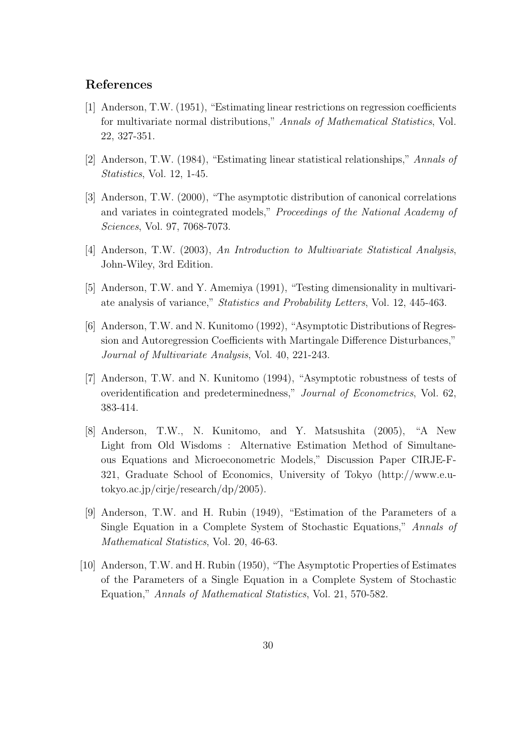# **References**

- [1] Anderson, T.W. (1951), "Estimating linear restrictions on regression coefficients for multivariate normal distributions," *Annals of Mathematical Statistics*, Vol. 22, 327-351.
- [2] Anderson, T.W. (1984), "Estimating linear statistical relationships," *Annals of Statistics*, Vol. 12, 1-45.
- [3] Anderson, T.W. (2000), "The asymptotic distribution of canonical correlations and variates in cointegrated models," *Proceedings of the National Academy of Sciences*, Vol. 97, 7068-7073.
- [4] Anderson, T.W. (2003), *An Introduction to Multivariate Statistical Analysis*, John-Wiley, 3rd Edition.
- [5] Anderson, T.W. and Y. Amemiya (1991), "Testing dimensionality in multivariate analysis of variance," *Statistics and Probability Letters*, Vol. 12, 445-463.
- [6] Anderson, T.W. and N. Kunitomo (1992), "Asymptotic Distributions of Regression and Autoregression Coefficients with Martingale Difference Disturbances," *Journal of Multivariate Analysis*, Vol. 40, 221-243.
- [7] Anderson, T.W. and N. Kunitomo (1994), "Asymptotic robustness of tests of overidentification and predeterminedness," *Journal of Econometrics*, Vol. 62, 383-414.
- [8] Anderson, T.W., N. Kunitomo, and Y. Matsushita (2005), "A New Light from Old Wisdoms : Alternative Estimation Method of Simultaneous Equations and Microeconometric Models," Discussion Paper CIRJE-F-321, Graduate School of Economics, University of Tokyo (http://www.e.utokyo.ac.jp/cirje/research/dp/2005).
- [9] Anderson, T.W. and H. Rubin (1949), "Estimation of the Parameters of a Single Equation in a Complete System of Stochastic Equations," *Annals of Mathematical Statistics*, Vol. 20, 46-63.
- [10] Anderson, T.W. and H. Rubin (1950), "The Asymptotic Properties of Estimates of the Parameters of a Single Equation in a Complete System of Stochastic Equation," *Annals of Mathematical Statistics*, Vol. 21, 570-582.